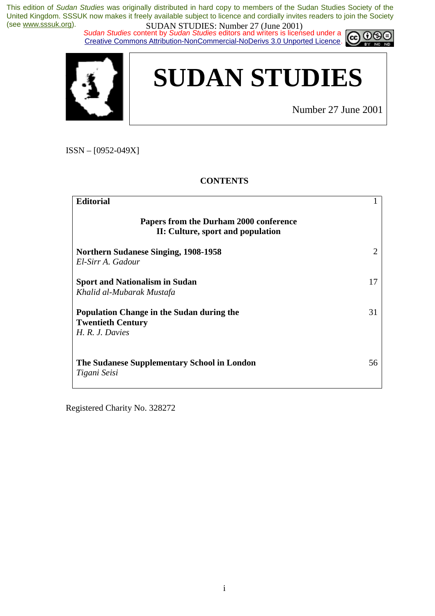*Sudan Studies content by Sudan Studies editors and writers is licensed under a* Creative Commons Attribution-NonCommercial-NoDerivs 3.0 Unported Licence.





Number 27 June 2001

റഭ

ISSN – [0952-049X]

## **CONTENTS**

| <b>Editorial</b>                                                                              |    |
|-----------------------------------------------------------------------------------------------|----|
| Papers from the Durham 2000 conference<br>II: Culture, sport and population                   |    |
| <b>Northern Sudanese Singing, 1908-1958</b><br>El-Sirr A. Gadour                              | 2  |
| <b>Sport and Nationalism in Sudan</b><br>Khalid al-Mubarak Mustafa                            | 17 |
| <b>Population Change in the Sudan during the</b><br><b>Twentieth Century</b><br>H.R.J. Davies | 31 |
| The Sudanese Supplementary School in London<br>Tigani Seisi                                   | 56 |

Registered Charity No. 328272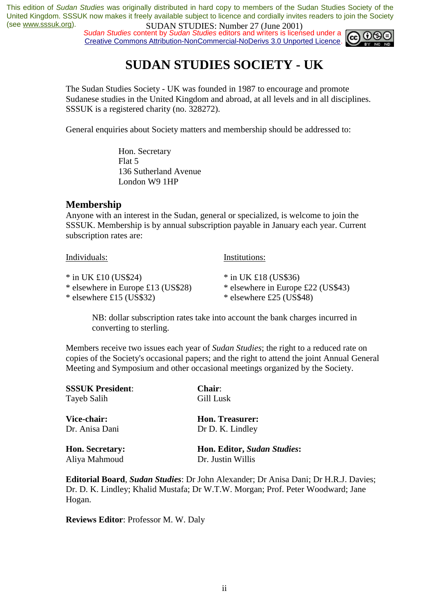**SUDAN STUDES.** Number 27 (June 2001)<br>*Sudan Studies* content by *Sudan Studies* editors and writers is licensed under a Creative Commons Attribution-NonCommercial-NoDerivs 3.0 Unported Licence.



## **SUDAN STUDIES SOCIETY - UK**

The Sudan Studies Society - UK was founded in 1987 to encourage and promote Sudanese studies in the United Kingdom and abroad, at all levels and in all disciplines. SSSUK is a registered charity (no. 328272).

General enquiries about Society matters and membership should be addressed to:

 Hon. Secretary Flat 5 136 Sutherland Avenue London W9 1HP

## **Membership**

Anyone with an interest in the Sudan, general or specialized, is welcome to join the SSSUK. Membership is by annual subscription payable in January each year. Current subscription rates are:

| Individuals:                                                 | Institutions:                                                |
|--------------------------------------------------------------|--------------------------------------------------------------|
| $*$ in UK £10 (US\$24)<br>* elsewhere in Europe £13 (US\$28) | $*$ in UK £18 (US\$36)<br>* elsewhere in Europe £22 (US\$43) |
| $*$ elsewhere £15 (US\$32)                                   | $*$ elsewhere £25 (US\$48)                                   |

NB: dollar subscription rates take into account the bank charges incurred in converting to sterling.

Members receive two issues each year of *Sudan Studies*; the right to a reduced rate on copies of the Society's occasional papers; and the right to attend the joint Annual General Meeting and Symposium and other occasional meetings organized by the Society.

| <b>SSSUK President:</b> | <b>Chair:</b>                      |
|-------------------------|------------------------------------|
| Tayeb Salih             | Gill Lusk                          |
| Vice-chair:             | <b>Hon. Treasurer:</b>             |
| Dr. Anisa Dani          | Dr D. K. Lindley                   |
| <b>Hon. Secretary:</b>  | <b>Hon. Editor, Sudan Studies:</b> |
| Aliya Mahmoud           | Dr. Justin Willis                  |

**Editorial Board**, *Sudan Studies*: Dr John Alexander; Dr Anisa Dani; Dr H.R.J. Davies; Dr. D. K. Lindley; Khalid Mustafa; Dr W.T.W. Morgan; Prof. Peter Woodward; Jane Hogan.

**Reviews Editor**: Professor M. W. Daly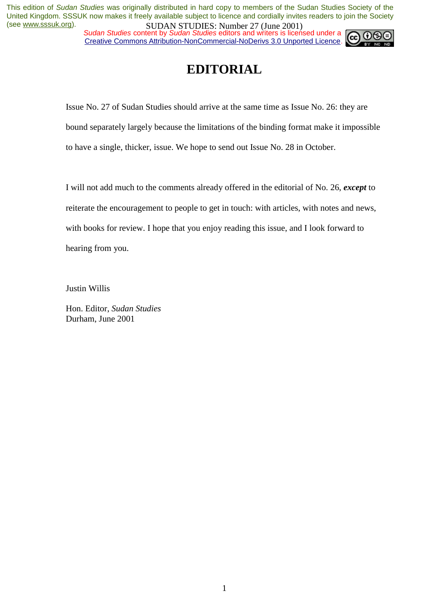*Sudan Studies content by Sudan Studies editors and writers is licensed under a* Creative Commons Attribution-NonCommercial-NoDerivs 3.0 Unported Licence.



## **EDITORIAL**

Issue No. 27 of Sudan Studies should arrive at the same time as Issue No. 26: they are bound separately largely because the limitations of the binding format make it impossible to have a single, thicker, issue. We hope to send out Issue No. 28 in October.

I will not add much to the comments already offered in the editorial of No. 26, *except* to reiterate the encouragement to people to get in touch: with articles, with notes and news, with books for review. I hope that you enjoy reading this issue, and I look forward to hearing from you.

Justin Willis

Hon. Editor, *Sudan Studies* Durham, June 2001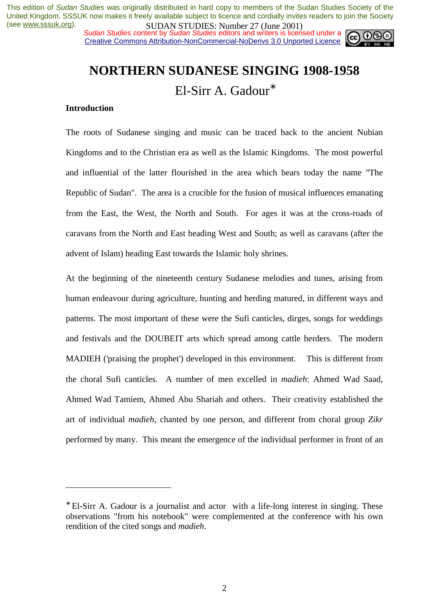*Sudan Studies content by Sudan Studies editors and writers is licensed under a* Creative Commons Attribution-NonCommercial-NoDerivs 3.0 Unported Licence.



# **NORTHERN SUDANESE SINGING 1908-1958**  El-Sirr A. Gadour<sup>∗</sup>

## **Introduction**

 $\overline{a}$ 

The roots of Sudanese singing and music can be traced back to the ancient Nubian Kingdoms and to the Christian era as well as the Islamic Kingdoms. The most powerful and influential of the latter flourished in the area which bears today the name "The Republic of Sudan". The area is a crucible for the fusion of musical influences emanating from the East, the West, the North and South. For ages it was at the cross-roads of caravans from the North and East heading West and South; as well as caravans (after the advent of Islam) heading East towards the Islamic holy shrines.

At the beginning of the nineteenth century Sudanese melodies and tunes, arising from human endeavour during agriculture, hunting and herding matured, in different ways and patterns. The most important of these were the Sufi canticles, dirges, songs for weddings and festivals and the DOUBEIT arts which spread among cattle herders. The modern MADIEH ('praising the prophet') developed in this environment. This is different from the choral Sufi canticles. A number of men excelled in *madieh*: Ahmed Wad Saad, Ahmed Wad Tamiem, Ahmed Abu Shariah and others. Their creativity established the art of individual *madieh*, chanted by one person, and different from choral group *Zikr* performed by many. This meant the emergence of the individual performer in front of an

<sup>∗</sup> El-Sirr A. Gadour is a journalist and actor with a life-long interest in singing. These observations "from his notebook" were complemented at the conference with his own rendition of the cited songs and *madieh*.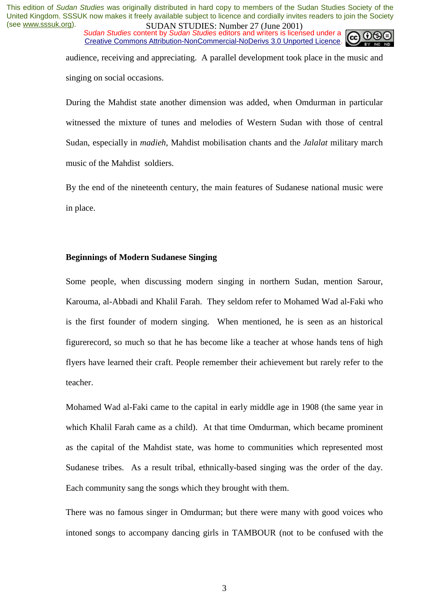*Sudan Studies content by Sudan Studies editors and writers is licensed under a* Creative Commons Attribution-NonCommercial-NoDerivs 3.0 Unported Licence.



audience, receiving and appreciating. A parallel development took place in the music and singing on social occasions.

During the Mahdist state another dimension was added, when Omdurman in particular witnessed the mixture of tunes and melodies of Western Sudan with those of central Sudan, especially in *madieh*, Mahdist mobilisation chants and the *Jalalat* military march music of the Mahdist soldiers.

By the end of the nineteenth century, the main features of Sudanese national music were in place.

## **Beginnings of Modern Sudanese Singing**

Some people, when discussing modern singing in northern Sudan, mention Sarour, Karouma, al-Abbadi and Khalil Farah. They seldom refer to Mohamed Wad al-Faki who is the first founder of modern singing. When mentioned, he is seen as an historical figurerecord, so much so that he has become like a teacher at whose hands tens of high flyers have learned their craft. People remember their achievement but rarely refer to the teacher.

Mohamed Wad al-Faki came to the capital in early middle age in 1908 (the same year in which Khalil Farah came as a child). At that time Omdurman, which became prominent as the capital of the Mahdist state, was home to communities which represented most Sudanese tribes. As a result tribal, ethnically-based singing was the order of the day. Each community sang the songs which they brought with them.

There was no famous singer in Omdurman; but there were many with good voices who intoned songs to accompany dancing girls in TAMBOUR (not to be confused with the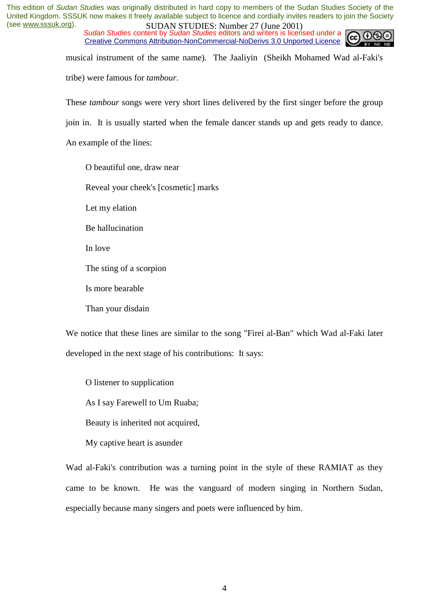*Sudan Studies content by Sudan Studies editors and writers is licensed under a* Creative Commons Attribution-NonCommercial-NoDerivs 3.0 Unported Licence.



musical instrument of the same name). The Jaaliyin (Sheikh Mohamed Wad al-Faki's

tribe) were famous for *tambour*.

These *tambour* songs were very short lines delivered by the first singer before the group

join in. It is usually started when the female dancer stands up and gets ready to dance.

An example of the lines:

O beautiful one, draw near

Reveal your cheek's [cosmetic] marks

Let my elation

Be hallucination

In love

The sting of a scorpion

Is more bearable

Than your disdain

We notice that these lines are similar to the song "Firei al-Ban" which Wad al-Faki later developed in the next stage of his contributions: It says:

O listener to supplication

As I say Farewell to Um Ruaba;

Beauty is inherited not acquired,

My captive heart is asunder

Wad al-Faki's contribution was a turning point in the style of these RAMIAT as they came to be known. He was the vanguard of modern singing in Northern Sudan, especially because many singers and poets were influenced by him.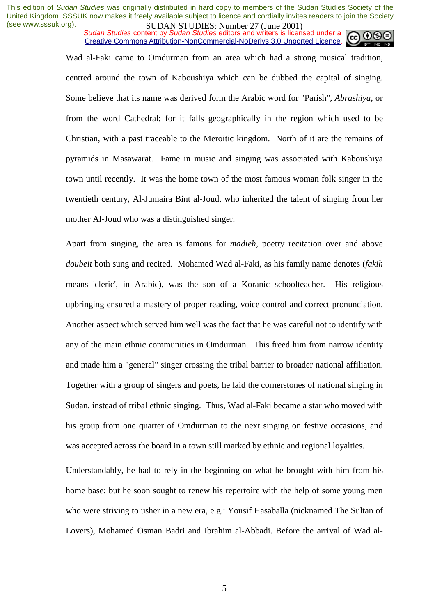*Sudan Studies content by Sudan Studies editors and writers is licensed under a* Creative Commons Attribution-NonCommercial-NoDerivs 3.0 Unported Licence.



Wad al-Faki came to Omdurman from an area which had a strong musical tradition, centred around the town of Kaboushiya which can be dubbed the capital of singing. Some believe that its name was derived form the Arabic word for "Parish", *Abrashiya*, or from the word Cathedral; for it falls geographically in the region which used to be Christian, with a past traceable to the Meroitic kingdom. North of it are the remains of pyramids in Masawarat. Fame in music and singing was associated with Kaboushiya town until recently. It was the home town of the most famous woman folk singer in the twentieth century, Al-Jumaira Bint al-Joud, who inherited the talent of singing from her mother Al-Joud who was a distinguished singer.

Apart from singing, the area is famous for *madieh*, poetry recitation over and above *doubeit* both sung and recited. Mohamed Wad al-Faki, as his family name denotes (*fakih* means 'cleric', in Arabic), was the son of a Koranic schoolteacher. His religious upbringing ensured a mastery of proper reading, voice control and correct pronunciation. Another aspect which served him well was the fact that he was careful not to identify with any of the main ethnic communities in Omdurman. This freed him from narrow identity and made him a "general" singer crossing the tribal barrier to broader national affiliation. Together with a group of singers and poets, he laid the cornerstones of national singing in Sudan, instead of tribal ethnic singing. Thus, Wad al-Faki became a star who moved with his group from one quarter of Omdurman to the next singing on festive occasions, and was accepted across the board in a town still marked by ethnic and regional loyalties.

Understandably, he had to rely in the beginning on what he brought with him from his home base; but he soon sought to renew his repertoire with the help of some young men who were striving to usher in a new era, e.g.: Yousif Hasaballa (nicknamed The Sultan of Lovers), Mohamed Osman Badri and Ibrahim al-Abbadi. Before the arrival of Wad al-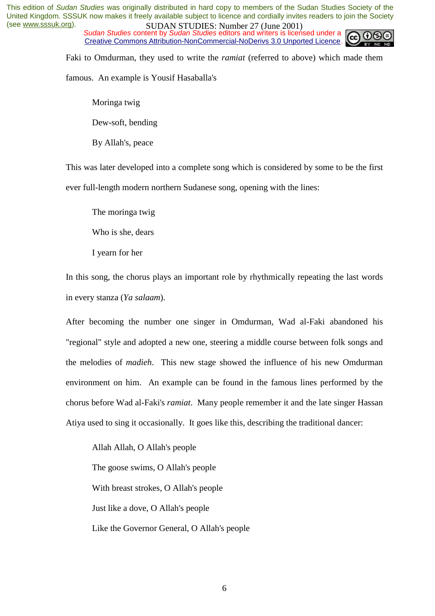*Sudan Studies content by Sudan Studies editors and writers is licensed under a* Creative Commons Attribution-NonCommercial-NoDerivs 3.0 Unported Licence.



Faki to Omdurman, they used to write the *ramiat* (referred to above) which made them

famous. An example is Yousif Hasaballa's

Moringa twig

Dew-soft, bending

By Allah's, peace

This was later developed into a complete song which is considered by some to be the first ever full-length modern northern Sudanese song, opening with the lines:

The moringa twig

Who is she, dears

I yearn for her

In this song, the chorus plays an important role by rhythmically repeating the last words in every stanza (*Ya salaam*).

After becoming the number one singer in Omdurman, Wad al-Faki abandoned his "regional" style and adopted a new one, steering a middle course between folk songs and the melodies of *madieh*. This new stage showed the influence of his new Omdurman environment on him. An example can be found in the famous lines performed by the chorus before Wad al-Faki's *ramiat*. Many people remember it and the late singer Hassan Atiya used to sing it occasionally. It goes like this, describing the traditional dancer:

Allah Allah, O Allah's people The goose swims, O Allah's people With breast strokes, O Allah's people Just like a dove, O Allah's people Like the Governor General, O Allah's people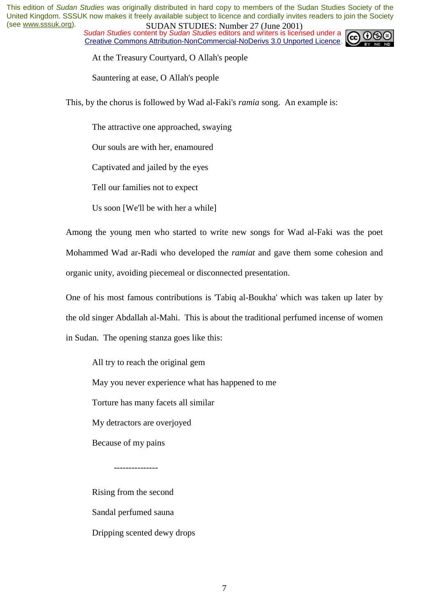*Sudan Studies content by Sudan Studies editors and writers is licensed under a* Creative Commons Attribution-NonCommercial-NoDerivs 3.0 Unported Licence.



At the Treasury Courtyard, O Allah's people

Sauntering at ease, O Allah's people

This, by the chorus is followed by Wad al-Faki's *ramia* song. An example is:

The attractive one approached, swaying

Our souls are with her, enamoured

Captivated and jailed by the eyes

Tell our families not to expect

Us soon [We'll be with her a while]

Among the young men who started to write new songs for Wad al-Faki was the poet Mohammed Wad ar-Radi who developed the *ramiat* and gave them some cohesion and organic unity, avoiding piecemeal or disconnected presentation.

One of his most famous contributions is 'Tabiq al-Boukha' which was taken up later by the old singer Abdallah al-Mahi. This is about the traditional perfumed incense of women in Sudan. The opening stanza goes like this:

All try to reach the original gem

May you never experience what has happened to me

Torture has many facets all similar

My detractors are overjoyed

Because of my pains

---------------

Rising from the second Sandal perfumed sauna Dripping scented dewy drops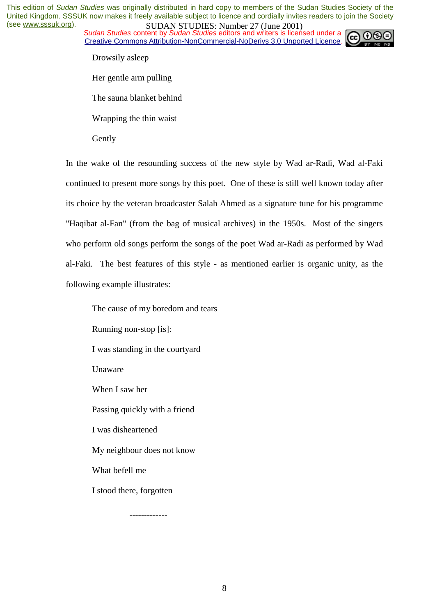*Sudan Studies content by Sudan Studies editors and writers is licensed under a* Creative Commons Attribution-NonCommercial-NoDerivs 3.0 Unported Licence.



Drowsily asleep

Her gentle arm pulling

The sauna blanket behind

Wrapping the thin waist

Gently

In the wake of the resounding success of the new style by Wad ar-Radi, Wad al-Faki continued to present more songs by this poet. One of these is still well known today after its choice by the veteran broadcaster Salah Ahmed as a signature tune for his programme "Haqibat al-Fan" (from the bag of musical archives) in the 1950s. Most of the singers who perform old songs perform the songs of the poet Wad ar-Radi as performed by Wad al-Faki. The best features of this style - as mentioned earlier is organic unity, as the following example illustrates:

The cause of my boredom and tears Running non-stop [is]: I was standing in the courtyard Unaware When I saw her Passing quickly with a friend I was disheartened My neighbour does not know What befell me I stood there, forgotten

-------------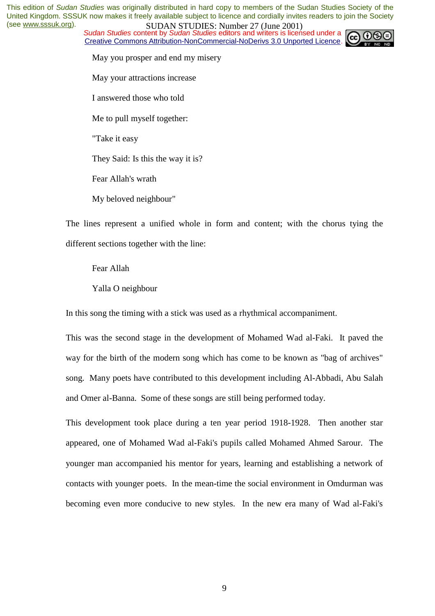**SUDAN STUDES. NUTTER 27 (JULIS 2004)**<br>Sudan Studies content by Sudan Studies editors and writers is licensed under a Creative Commons Attribution-NonCommercial-NoDerivs 3.0 Unported Licence.



May you prosper and end my misery

May your attractions increase

I answered those who told

Me to pull myself together:

"Take it easy

They Said: Is this the way it is?

Fear Allah's wrath

My beloved neighbour"

The lines represent a unified whole in form and content; with the chorus tying the different sections together with the line:

Fear Allah

Yalla O neighbour

In this song the timing with a stick was used as a rhythmical accompaniment.

This was the second stage in the development of Mohamed Wad al-Faki. It paved the way for the birth of the modern song which has come to be known as "bag of archives" song. Many poets have contributed to this development including Al-Abbadi, Abu Salah and Omer al-Banna. Some of these songs are still being performed today.

This development took place during a ten year period 1918-1928. Then another star appeared, one of Mohamed Wad al-Faki's pupils called Mohamed Ahmed Sarour. The younger man accompanied his mentor for years, learning and establishing a network of contacts with younger poets. In the mean-time the social environment in Omdurman was becoming even more conducive to new styles. In the new era many of Wad al-Faki's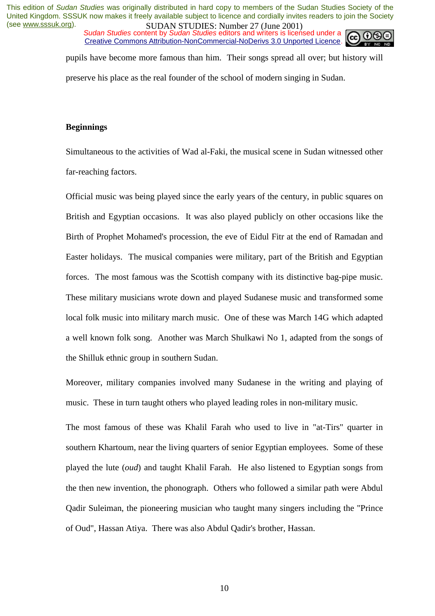*Sudan Studies content by Sudan Studies editors and writers is licensed under a* Creative Commons Attribution-NonCommercial-NoDerivs 3.0 Unported Licence.



pupils have become more famous than him. Their songs spread all over; but history will preserve his place as the real founder of the school of modern singing in Sudan.

#### **Beginnings**

Simultaneous to the activities of Wad al-Faki, the musical scene in Sudan witnessed other far-reaching factors.

Official music was being played since the early years of the century, in public squares on British and Egyptian occasions. It was also played publicly on other occasions like the Birth of Prophet Mohamed's procession, the eve of Eidul Fitr at the end of Ramadan and Easter holidays. The musical companies were military, part of the British and Egyptian forces. The most famous was the Scottish company with its distinctive bag-pipe music. These military musicians wrote down and played Sudanese music and transformed some local folk music into military march music. One of these was March 14G which adapted a well known folk song. Another was March Shulkawi No 1, adapted from the songs of the Shilluk ethnic group in southern Sudan.

Moreover, military companies involved many Sudanese in the writing and playing of music. These in turn taught others who played leading roles in non-military music.

The most famous of these was Khalil Farah who used to live in "at-Tirs" quarter in southern Khartoum, near the living quarters of senior Egyptian employees. Some of these played the lute (*oud*) and taught Khalil Farah. He also listened to Egyptian songs from the then new invention, the phonograph. Others who followed a similar path were Abdul Qadir Suleiman, the pioneering musician who taught many singers including the "Prince of Oud", Hassan Atiya. There was also Abdul Qadir's brother, Hassan.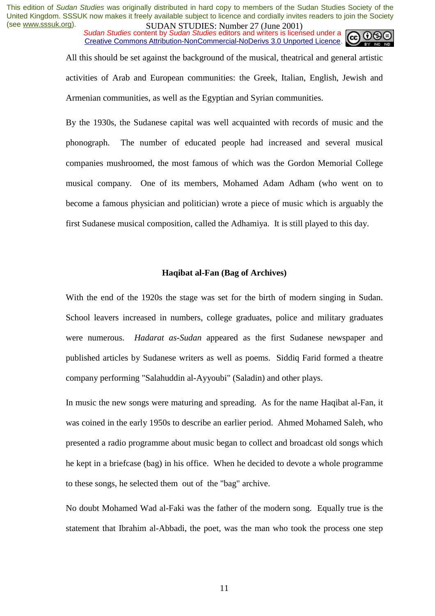*Sudan Studies content by Sudan Studies editors and writers is licensed under a* Creative Commons Attribution-NonCommercial-NoDerivs 3.0 Unported Licence.

> All this should be set against the background of the musical, theatrical and general artistic activities of Arab and European communities: the Greek, Italian, English, Jewish and Armenian communities, as well as the Egyptian and Syrian communities.

> By the 1930s, the Sudanese capital was well acquainted with records of music and the phonograph. The number of educated people had increased and several musical companies mushroomed, the most famous of which was the Gordon Memorial College musical company. One of its members, Mohamed Adam Adham (who went on to become a famous physician and politician) wrote a piece of music which is arguably the first Sudanese musical composition, called the Adhamiya. It is still played to this day.

#### **Haqibat al-Fan (Bag of Archives)**

With the end of the 1920s the stage was set for the birth of modern singing in Sudan. School leavers increased in numbers, college graduates, police and military graduates were numerous. *Hadarat as-Sudan* appeared as the first Sudanese newspaper and published articles by Sudanese writers as well as poems. Siddiq Farid formed a theatre company performing "Salahuddin al-Ayyoubi" (Saladin) and other plays.

In music the new songs were maturing and spreading. As for the name Haqibat al-Fan, it was coined in the early 1950s to describe an earlier period. Ahmed Mohamed Saleh, who presented a radio programme about music began to collect and broadcast old songs which he kept in a briefcase (bag) in his office. When he decided to devote a whole programme to these songs, he selected them out of the "bag" archive.

No doubt Mohamed Wad al-Faki was the father of the modern song. Equally true is the statement that Ibrahim al-Abbadi, the poet, was the man who took the process one step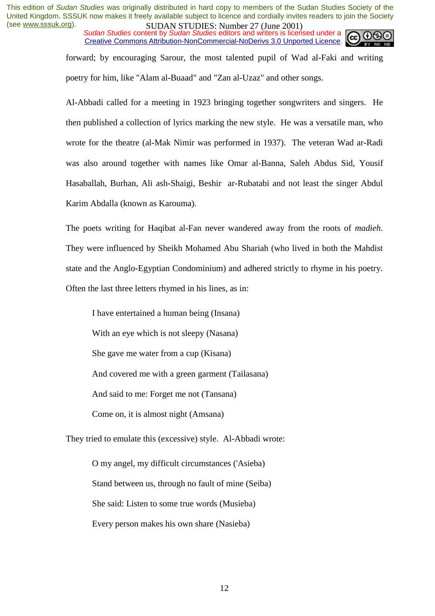*Sudan Studies content by Sudan Studies editors and writers is licensed under a* Creative Commons Attribution-NonCommercial-NoDerivs 3.0 Unported Licence.

forward; by encouraging Sarour, the most talented pupil of Wad al-Faki and writing poetry for him, like "Alam al-Buaad" and "Zan al-Uzaz" and other songs.

Al-Abbadi called for a meeting in 1923 bringing together songwriters and singers. He then published a collection of lyrics marking the new style. He was a versatile man, who wrote for the theatre (al-Mak Nimir was performed in 1937). The veteran Wad ar-Radi was also around together with names like Omar al-Banna, Saleh Abdus Sid, Yousif Hasaballah, Burhan, Ali ash-Shaigi, Beshir ar-Rubatabi and not least the singer Abdul Karim Abdalla (known as Karouma).

The poets writing for Haqibat al-Fan never wandered away from the roots of *madieh*. They were influenced by Sheikh Mohamed Abu Shariah (who lived in both the Mahdist state and the Anglo-Egyptian Condominium) and adhered strictly to rhyme in his poetry. Often the last three letters rhymed in his lines, as in:

I have entertained a human being (Insana) With an eye which is not sleepy (Nasana) She gave me water from a cup (Kisana) And covered me with a green garment (Tailasana) And said to me: Forget me not (Tansana) Come on, it is almost night (Amsana)

They tried to emulate this (excessive) style. Al-Abbadi wrote:

O my angel, my difficult circumstances ('Asieba) Stand between us, through no fault of mine (Seiba) She said: Listen to some true words (Musieba) Every person makes his own share (Nasieba)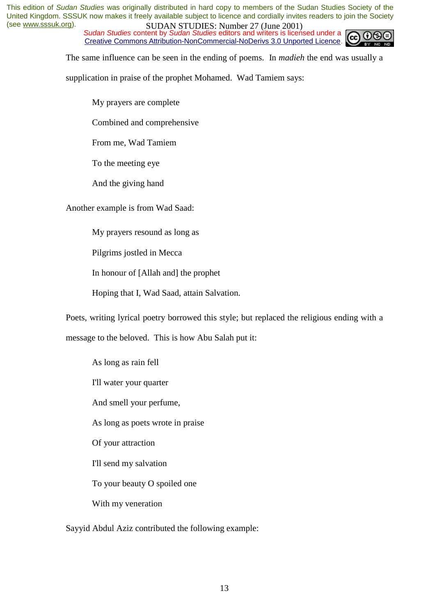*Sudan Studies content by Sudan Studies editors and writers is licensed under a* Creative Commons Attribution-NonCommercial-NoDerivs 3.0 Unported Licence.



The same influence can be seen in the ending of poems. In *madieh* the end was usually a

supplication in praise of the prophet Mohamed. Wad Tamiem says:

My prayers are complete

Combined and comprehensive

From me, Wad Tamiem

To the meeting eye

And the giving hand

Another example is from Wad Saad:

My prayers resound as long as

Pilgrims jostled in Mecca

In honour of [Allah and] the prophet

Hoping that I, Wad Saad, attain Salvation.

Poets, writing lyrical poetry borrowed this style; but replaced the religious ending with a

message to the beloved. This is how Abu Salah put it:

As long as rain fell I'll water your quarter And smell your perfume,

As long as poets wrote in praise

Of your attraction

I'll send my salvation

To your beauty O spoiled one

With my veneration

Sayyid Abdul Aziz contributed the following example: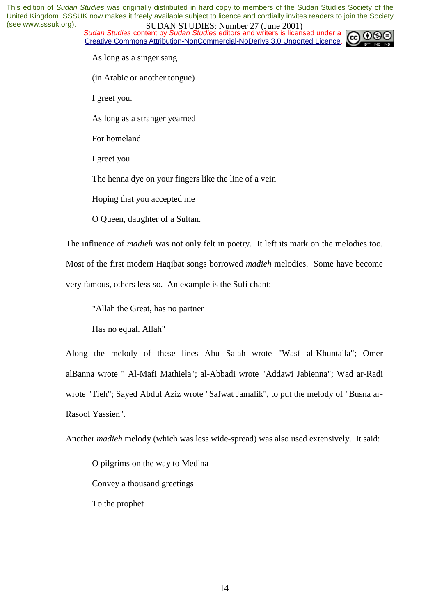*Sudan Studies content by Sudan Studies editors and writers is licensed under a* Creative Commons Attribution-NonCommercial-NoDerivs 3.0 Unported Licence.



As long as a singer sang

(in Arabic or another tongue)

I greet you.

As long as a stranger yearned

For homeland

I greet you

The henna dye on your fingers like the line of a vein

Hoping that you accepted me

O Queen, daughter of a Sultan.

The influence of *madieh* was not only felt in poetry. It left its mark on the melodies too.

Most of the first modern Haqibat songs borrowed *madieh* melodies. Some have become very famous, others less so. An example is the Sufi chant:

"Allah the Great, has no partner

Has no equal. Allah"

Along the melody of these lines Abu Salah wrote "Wasf al-Khuntaila"; Omer alBanna wrote " Al-Mafi Mathiela"; al-Abbadi wrote "Addawi Jabienna"; Wad ar-Radi wrote "Tieh"; Sayed Abdul Aziz wrote "Safwat Jamalik", to put the melody of "Busna ar-Rasool Yassien".

Another *madieh* melody (which was less wide-spread) was also used extensively. It said:

O pilgrims on the way to Medina Convey a thousand greetings To the prophet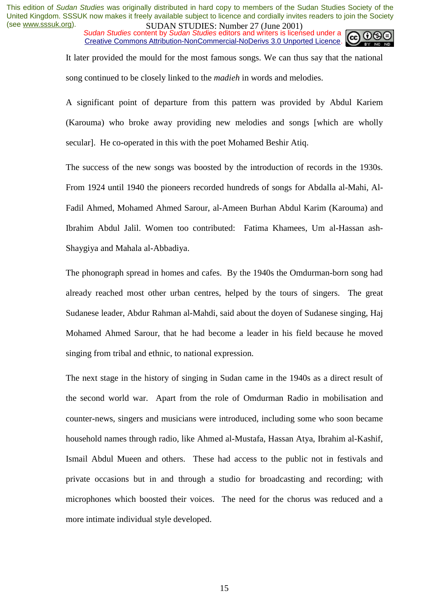*Sudan Studies content by Sudan Studies editors and writers is licensed under a* Creative Commons Attribution-NonCommercial-NoDerivs 3.0 Unported Licence.



It later provided the mould for the most famous songs. We can thus say that the national song continued to be closely linked to the *madieh* in words and melodies.

A significant point of departure from this pattern was provided by Abdul Kariem (Karouma) who broke away providing new melodies and songs [which are wholly secular]. He co-operated in this with the poet Mohamed Beshir Atiq.

The success of the new songs was boosted by the introduction of records in the 1930s. From 1924 until 1940 the pioneers recorded hundreds of songs for Abdalla al-Mahi, Al-Fadil Ahmed, Mohamed Ahmed Sarour, al-Ameen Burhan Abdul Karim (Karouma) and Ibrahim Abdul Jalil. Women too contributed: Fatima Khamees, Um al-Hassan ash-Shaygiya and Mahala al-Abbadiya.

The phonograph spread in homes and cafes. By the 1940s the Omdurman-born song had already reached most other urban centres, helped by the tours of singers. The great Sudanese leader, Abdur Rahman al-Mahdi, said about the doyen of Sudanese singing, Haj Mohamed Ahmed Sarour, that he had become a leader in his field because he moved singing from tribal and ethnic, to national expression.

The next stage in the history of singing in Sudan came in the 1940s as a direct result of the second world war. Apart from the role of Omdurman Radio in mobilisation and counter-news, singers and musicians were introduced, including some who soon became household names through radio, like Ahmed al-Mustafa, Hassan Atya, Ibrahim al-Kashif, Ismail Abdul Mueen and others. These had access to the public not in festivals and private occasions but in and through a studio for broadcasting and recording; with microphones which boosted their voices. The need for the chorus was reduced and a more intimate individual style developed.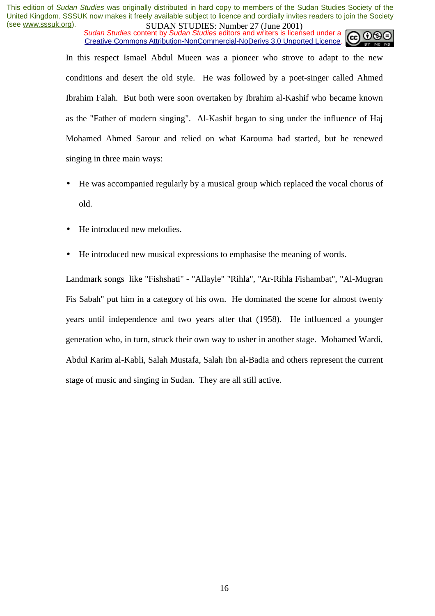*Sudan Studies content by Sudan Studies editors and writers is licensed under a* Creative Commons Attribution-NonCommercial-NoDerivs 3.0 Unported Licence.

In this respect Ismael Abdul Mueen was a pioneer who strove to adapt to the new conditions and desert the old style. He was followed by a poet-singer called Ahmed Ibrahim Falah. But both were soon overtaken by Ibrahim al-Kashif who became known as the "Father of modern singing". Al-Kashif began to sing under the influence of Haj Mohamed Ahmed Sarour and relied on what Karouma had started, but he renewed singing in three main ways:

- He was accompanied regularly by a musical group which replaced the vocal chorus of old.
- He introduced new melodies.
- He introduced new musical expressions to emphasise the meaning of words.

Landmark songs like "Fishshati" - "Allayle" "Rihla", "Ar-Rihla Fishambat", "Al-Mugran Fis Sabah" put him in a category of his own. He dominated the scene for almost twenty years until independence and two years after that (1958). He influenced a younger generation who, in turn, struck their own way to usher in another stage. Mohamed Wardi, Abdul Karim al-Kabli, Salah Mustafa, Salah Ibn al-Badia and others represent the current stage of music and singing in Sudan. They are all still active.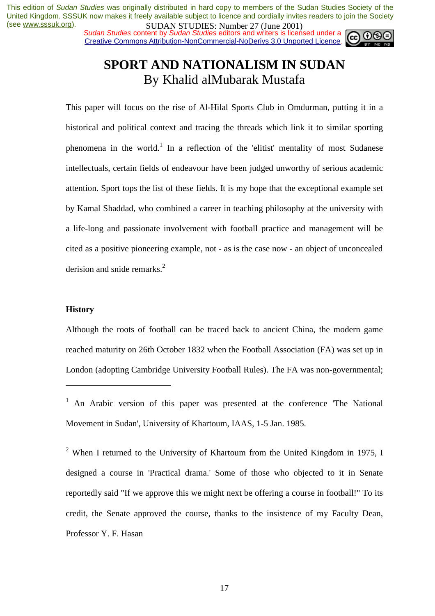*Sudan Studies content by Sudan Studies editors and writers is licensed under a* Creative Commons Attribution-NonCommercial-NoDerivs 3.0 Unported Licence.



## **SPORT AND NATIONALISM IN SUDAN**  By Khalid alMubarak Mustafa

This paper will focus on the rise of Al-Hilal Sports Club in Omdurman, putting it in a historical and political context and tracing the threads which link it to similar sporting phenomena in the world.<sup>1</sup> In a reflection of the 'elitist' mentality of most Sudanese intellectuals, certain fields of endeavour have been judged unworthy of serious academic attention. Sport tops the list of these fields. It is my hope that the exceptional example set by Kamal Shaddad, who combined a career in teaching philosophy at the university with a life-long and passionate involvement with football practice and management will be cited as a positive pioneering example, not - as is the case now - an object of unconcealed derision and snide remarks.<sup>2</sup>

#### **History**

 $\overline{a}$ 

Although the roots of football can be traced back to ancient China, the modern game reached maturity on 26th October 1832 when the Football Association (FA) was set up in London (adopting Cambridge University Football Rules). The FA was non-governmental;

<sup>2</sup> When I returned to the University of Khartoum from the United Kingdom in 1975, I designed a course in 'Practical drama.' Some of those who objected to it in Senate reportedly said "If we approve this we might next be offering a course in football!" To its credit, the Senate approved the course, thanks to the insistence of my Faculty Dean, Professor Y. F. Hasan

<sup>&</sup>lt;sup>1</sup> An Arabic version of this paper was presented at the conference 'The National Movement in Sudan', University of Khartoum, IAAS, 1-5 Jan. 1985.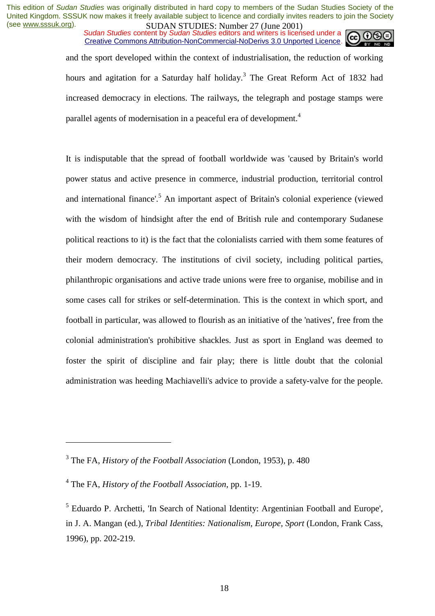*Sudan Studies content by Sudan Studies editors and writers is licensed under a* Creative Commons Attribution-NonCommercial-NoDerivs 3.0 Unported Licence.



and the sport developed within the context of industrialisation, the reduction of working hours and agitation for a Saturday half holiday.<sup>3</sup> The Great Reform Act of 1832 had increased democracy in elections. The railways, the telegraph and postage stamps were parallel agents of modernisation in a peaceful era of development.<sup>4</sup>

It is indisputable that the spread of football worldwide was 'caused by Britain's world power status and active presence in commerce, industrial production, territorial control and international finance'.<sup>5</sup> An important aspect of Britain's colonial experience (viewed with the wisdom of hindsight after the end of British rule and contemporary Sudanese political reactions to it) is the fact that the colonialists carried with them some features of their modern democracy. The institutions of civil society, including political parties, philanthropic organisations and active trade unions were free to organise, mobilise and in some cases call for strikes or self-determination. This is the context in which sport, and football in particular, was allowed to flourish as an initiative of the 'natives', free from the colonial administration's prohibitive shackles. Just as sport in England was deemed to foster the spirit of discipline and fair play; there is little doubt that the colonial administration was heeding Machiavelli's advice to provide a safety-valve for the people.

<sup>3</sup> The FA, *History of the Football Association* (London, 1953), p. 480

<sup>4</sup> The FA, *History of the Football Association*, pp. 1-19.

<sup>&</sup>lt;sup>5</sup> Eduardo P. Archetti, 'In Search of National Identity: Argentinian Football and Europe', in J. A. Mangan (ed.), *Tribal Identities: Nationalism, Europe, Sport* (London, Frank Cass, 1996), pp. 202-219.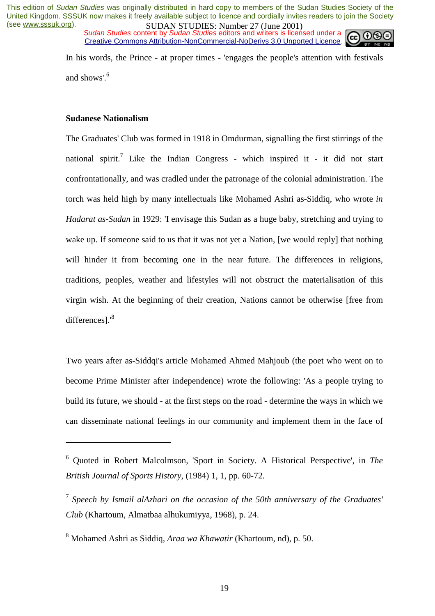*Sudan Studies content by Sudan Studies editors and writers is licensed under a* Creative Commons Attribution-NonCommercial-NoDerivs 3.0 Unported Licence.



In his words, the Prince - at proper times - 'engages the people's attention with festivals and shows'.<sup>6</sup>

## **Sudanese Nationalism**

 $\overline{a}$ 

The Graduates' Club was formed in 1918 in Omdurman, signalling the first stirrings of the national spirit.<sup>7</sup> Like the Indian Congress - which inspired it - it did not start confrontationally, and was cradled under the patronage of the colonial administration. The torch was held high by many intellectuals like Mohamed Ashri as-Siddiq, who wrote *in Hadarat as-Sudan* in 1929: 'I envisage this Sudan as a huge baby, stretching and trying to wake up. If someone said to us that it was not yet a Nation, [we would reply] that nothing will hinder it from becoming one in the near future. The differences in religions, traditions, peoples, weather and lifestyles will not obstruct the materialisation of this virgin wish. At the beginning of their creation, Nations cannot be otherwise [free from differences].'<sup>8</sup>

Two years after as-Siddqi's article Mohamed Ahmed Mahjoub (the poet who went on to become Prime Minister after independence) wrote the following: 'As a people trying to build its future, we should - at the first steps on the road - determine the ways in which we can disseminate national feelings in our community and implement them in the face of

<sup>6</sup> Quoted in Robert Malcolmson, 'Sport in Society. A Historical Perspective', in *The British Journal of Sports History*, (1984) 1, 1, pp. 60-72.

<sup>7</sup> *Speech by Ismail alAzhari on the occasion of the 50th anniversary of the Graduates' Club* (Khartoum, Almatbaa alhukumiyya, 1968), p. 24.

<sup>8</sup> Mohamed Ashri as Siddiq, *Araa wa Khawatir* (Khartoum, nd), p. 50.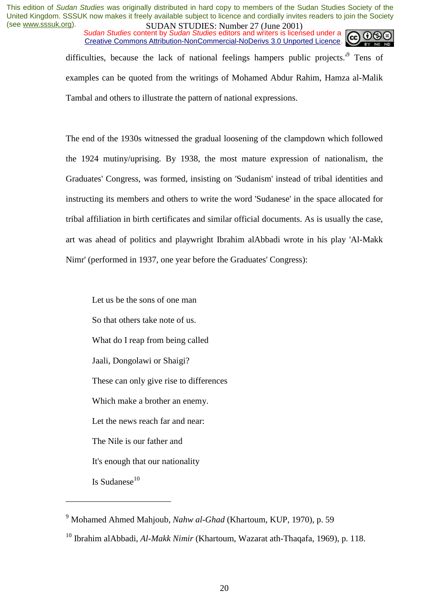*Sudan Studies content by Sudan Studies editors and writers is licensed under a* Creative Commons Attribution-NonCommercial-NoDerivs 3.0 Unported Licence.



difficulties, because the lack of national feelings hampers public projects.<sup>9</sup> Tens of examples can be quoted from the writings of Mohamed Abdur Rahim, Hamza al-Malik Tambal and others to illustrate the pattern of national expressions.

The end of the 1930s witnessed the gradual loosening of the clampdown which followed the 1924 mutiny/uprising. By 1938, the most mature expression of nationalism, the Graduates' Congress, was formed, insisting on 'Sudanism' instead of tribal identities and instructing its members and others to write the word 'Sudanese' in the space allocated for tribal affiliation in birth certificates and similar official documents. As is usually the case, art was ahead of politics and playwright Ibrahim alAbbadi wrote in his play 'Al-Makk Nimr' (performed in 1937, one year before the Graduates' Congress):

Let us be the sons of one man So that others take note of us. What do I reap from being called Jaali, Dongolawi or Shaigi? These can only give rise to differences Which make a brother an enemy. Let the news reach far and near: The Nile is our father and It's enough that our nationality Is Sudanese $10$ 

<sup>9</sup> Mohamed Ahmed Mahjoub, *Nahw al-Ghad* (Khartoum, KUP, 1970), p. 59

<sup>10</sup> Ibrahim alAbbadi, *Al-Makk Nimir* (Khartoum, Wazarat ath-Thaqafa, 1969), p. 118.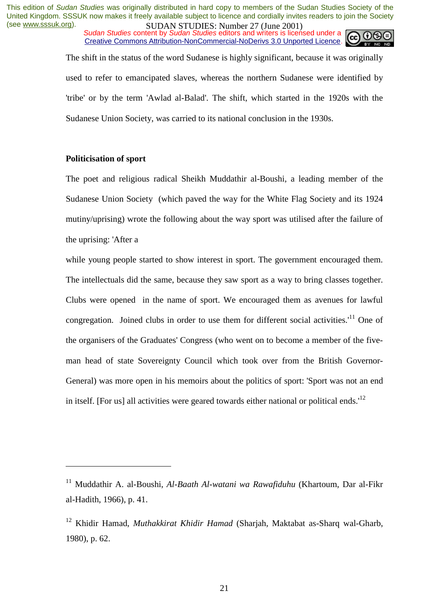*Sudan Studies content by Sudan Studies editors and writers is licensed under a* Creative Commons Attribution-NonCommercial-NoDerivs 3.0 Unported Licence.



The shift in the status of the word Sudanese is highly significant, because it was originally used to refer to emancipated slaves, whereas the northern Sudanese were identified by 'tribe' or by the term 'Awlad al-Balad'. The shift, which started in the 1920s with the Sudanese Union Society, was carried to its national conclusion in the 1930s.

## **Politicisation of sport**

 $\overline{a}$ 

The poet and religious radical Sheikh Muddathir al-Boushi, a leading member of the Sudanese Union Society (which paved the way for the White Flag Society and its 1924 mutiny/uprising) wrote the following about the way sport was utilised after the failure of the uprising: 'After a

while young people started to show interest in sport. The government encouraged them. The intellectuals did the same, because they saw sport as a way to bring classes together. Clubs were opened in the name of sport. We encouraged them as avenues for lawful congregation. Joined clubs in order to use them for different social activities.<sup>'11</sup> One of the organisers of the Graduates' Congress (who went on to become a member of the fiveman head of state Sovereignty Council which took over from the British Governor-General) was more open in his memoirs about the politics of sport: 'Sport was not an end in itself. [For us] all activities were geared towards either national or political ends.<sup>12</sup>

<sup>11</sup> Muddathir A. al-Boushi, *Al-Baath Al-watani wa Rawafiduhu* (Khartoum, Dar al-Fikr al-Hadith, 1966), p. 41.

<sup>12</sup> Khidir Hamad, *Muthakkirat Khidir Hamad* (Sharjah, Maktabat as-Sharq wal-Gharb, 1980), p. 62.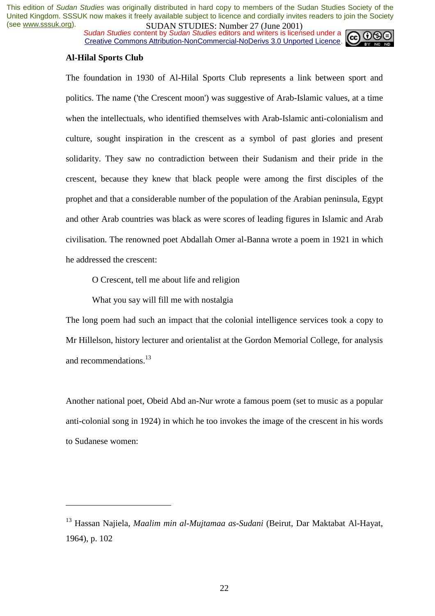*Sudan Studies content by Sudan Studies editors and writers is licensed under a* Creative Commons Attribution-NonCommercial-NoDerivs 3.0 Unported Licence.



#### **Al-Hilal Sports Club**

 $\overline{a}$ 

The foundation in 1930 of Al-Hilal Sports Club represents a link between sport and politics. The name ('the Crescent moon') was suggestive of Arab-Islamic values, at a time when the intellectuals, who identified themselves with Arab-Islamic anti-colonialism and culture, sought inspiration in the crescent as a symbol of past glories and present solidarity. They saw no contradiction between their Sudanism and their pride in the crescent, because they knew that black people were among the first disciples of the prophet and that a considerable number of the population of the Arabian peninsula, Egypt and other Arab countries was black as were scores of leading figures in Islamic and Arab civilisation. The renowned poet Abdallah Omer al-Banna wrote a poem in 1921 in which he addressed the crescent:

O Crescent, tell me about life and religion

What you say will fill me with nostalgia

The long poem had such an impact that the colonial intelligence services took a copy to Mr Hillelson, history lecturer and orientalist at the Gordon Memorial College, for analysis and recommendations.<sup>13</sup>

Another national poet, Obeid Abd an-Nur wrote a famous poem (set to music as a popular anti-colonial song in 1924) in which he too invokes the image of the crescent in his words to Sudanese women:

<sup>13</sup> Hassan Najiela, *Maalim min al-Mujtamaa as-Sudani* (Beirut, Dar Maktabat Al-Hayat, 1964), p. 102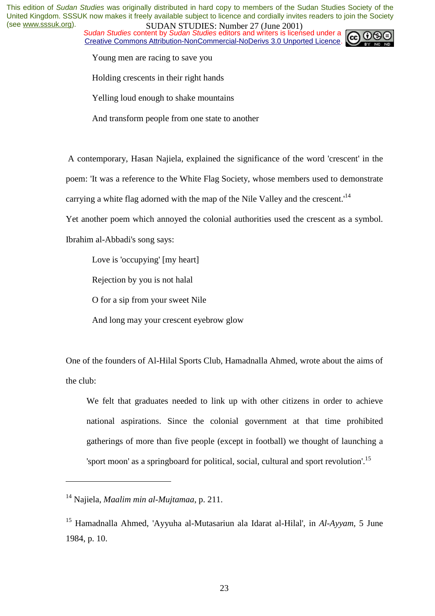*Sudan Studies content by Sudan Studies editors and writers is licensed under a* Creative Commons Attribution-NonCommercial-NoDerivs 3.0 Unported Licence.



Young men are racing to save you

Holding crescents in their right hands

Yelling loud enough to shake mountains

And transform people from one state to another

 A contemporary, Hasan Najiela, explained the significance of the word 'crescent' in the poem: 'It was a reference to the White Flag Society, whose members used to demonstrate

carrying a white flag adorned with the map of the Nile Valley and the crescent.<sup>14</sup>

Yet another poem which annoyed the colonial authorities used the crescent as a symbol.

Ibrahim al-Abbadi's song says:

Love is 'occupying' [my heart]

Rejection by you is not halal

O for a sip from your sweet Nile

And long may your crescent eyebrow glow

One of the founders of Al-Hilal Sports Club, Hamadnalla Ahmed, wrote about the aims of the club:

We felt that graduates needed to link up with other citizens in order to achieve national aspirations. Since the colonial government at that time prohibited gatherings of more than five people (except in football) we thought of launching a 'sport moon' as a springboard for political, social, cultural and sport revolution'.<sup>15</sup>

<sup>14</sup> Najiela, *Maalim min al-Mujtamaa*, p. 211.

<sup>15</sup> Hamadnalla Ahmed, 'Ayyuha al-Mutasariun ala Idarat al-Hilal', in *Al-Ayyam*, 5 June 1984, p. 10.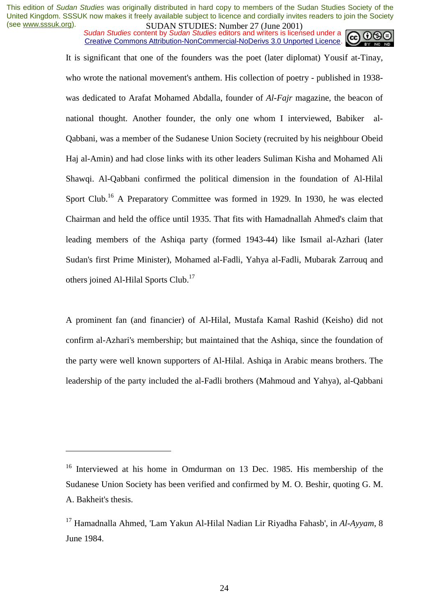*Sudan Studies content by Sudan Studies editors and writers is licensed under a* Creative Commons Attribution-NonCommercial-NoDerivs 3.0 Unported Licence.

It is significant that one of the founders was the poet (later diplomat) Yousif at-Tinay, who wrote the national movement's anthem. His collection of poetry - published in 1938was dedicated to Arafat Mohamed Abdalla, founder of *Al-Fajr* magazine, the beacon of national thought. Another founder, the only one whom I interviewed, Babiker al-Qabbani, was a member of the Sudanese Union Society (recruited by his neighbour Obeid Haj al-Amin) and had close links with its other leaders Suliman Kisha and Mohamed Ali Shawqi. Al-Qabbani confirmed the political dimension in the foundation of Al-Hilal Sport Club.<sup>16</sup> A Preparatory Committee was formed in 1929. In 1930, he was elected Chairman and held the office until 1935. That fits with Hamadnallah Ahmed's claim that leading members of the Ashiqa party (formed 1943-44) like Ismail al-Azhari (later Sudan's first Prime Minister), Mohamed al-Fadli, Yahya al-Fadli, Mubarak Zarrouq and others joined Al-Hilal Sports Club.<sup>17</sup>

A prominent fan (and financier) of Al-Hilal, Mustafa Kamal Rashid (Keisho) did not confirm al-Azhari's membership; but maintained that the Ashiqa, since the foundation of the party were well known supporters of Al-Hilal. Ashiqa in Arabic means brothers. The leadership of the party included the al-Fadli brothers (Mahmoud and Yahya), al-Qabbani

<sup>&</sup>lt;sup>16</sup> Interviewed at his home in Omdurman on 13 Dec. 1985. His membership of the Sudanese Union Society has been verified and confirmed by M. O. Beshir, quoting G. M. A. Bakheit's thesis.

<sup>17</sup> Hamadnalla Ahmed, 'Lam Yakun Al-Hilal Nadian Lir Riyadha Fahasb', in *Al-Ayyam*, 8 June 1984.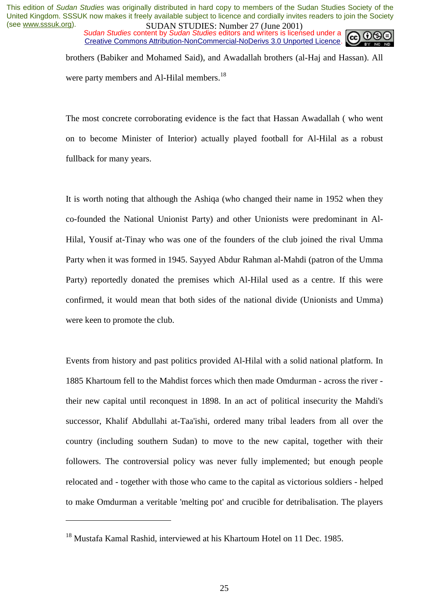*Sudan Studies content by Sudan Studies editors and writers is licensed under a* Creative Commons Attribution-NonCommercial-NoDerivs 3.0 Unported Licence.



brothers (Babiker and Mohamed Said), and Awadallah brothers (al-Haj and Hassan). All were party members and Al-Hilal members.<sup>18</sup>

The most concrete corroborating evidence is the fact that Hassan Awadallah ( who went on to become Minister of Interior) actually played football for Al-Hilal as a robust fullback for many years.

It is worth noting that although the Ashiqa (who changed their name in 1952 when they co-founded the National Unionist Party) and other Unionists were predominant in Al-Hilal, Yousif at-Tinay who was one of the founders of the club joined the rival Umma Party when it was formed in 1945. Sayyed Abdur Rahman al-Mahdi (patron of the Umma Party) reportedly donated the premises which Al-Hilal used as a centre. If this were confirmed, it would mean that both sides of the national divide (Unionists and Umma) were keen to promote the club.

Events from history and past politics provided Al-Hilal with a solid national platform. In 1885 Khartoum fell to the Mahdist forces which then made Omdurman - across the river their new capital until reconquest in 1898. In an act of political insecurity the Mahdi's successor, Khalif Abdullahi at-Taa'ishi, ordered many tribal leaders from all over the country (including southern Sudan) to move to the new capital, together with their followers. The controversial policy was never fully implemented; but enough people relocated and - together with those who came to the capital as victorious soldiers - helped to make Omdurman a veritable 'melting pot' and crucible for detribalisation. The players

<sup>&</sup>lt;sup>18</sup> Mustafa Kamal Rashid, interviewed at his Khartoum Hotel on 11 Dec. 1985.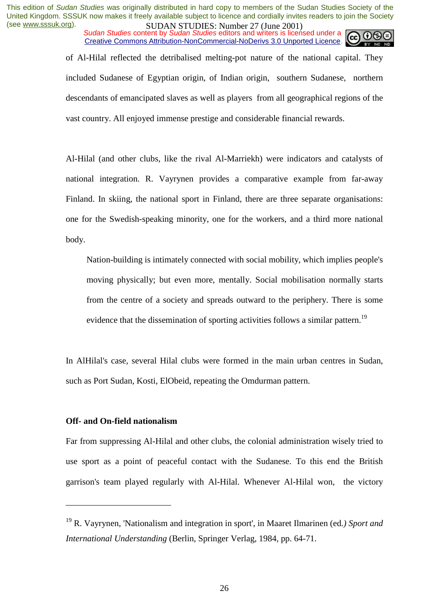*Sudan Studies content by Sudan Studies editors and writers is licensed under a* Creative Commons Attribution-NonCommercial-NoDerivs 3.0 Unported Licence.



of Al-Hilal reflected the detribalised melting-pot nature of the national capital. They included Sudanese of Egyptian origin, of Indian origin, southern Sudanese, northern descendants of emancipated slaves as well as players from all geographical regions of the vast country. All enjoyed immense prestige and considerable financial rewards.

Al-Hilal (and other clubs, like the rival Al-Marriekh) were indicators and catalysts of national integration. R. Vayrynen provides a comparative example from far-away Finland. In skiing, the national sport in Finland, there are three separate organisations: one for the Swedish-speaking minority, one for the workers, and a third more national body.

Nation-building is intimately connected with social mobility, which implies people's moving physically; but even more, mentally. Social mobilisation normally starts from the centre of a society and spreads outward to the periphery. There is some evidence that the dissemination of sporting activities follows a similar pattern.<sup>19</sup>

In AlHilal's case, several Hilal clubs were formed in the main urban centres in Sudan, such as Port Sudan, Kosti, ElObeid, repeating the Omdurman pattern.

#### **Off- and On-field nationalism**

 $\overline{a}$ 

Far from suppressing Al-Hilal and other clubs, the colonial administration wisely tried to use sport as a point of peaceful contact with the Sudanese. To this end the British garrison's team played regularly with Al-Hilal. Whenever Al-Hilal won, the victory

<sup>19</sup> R. Vayrynen, 'Nationalism and integration in sport', in Maaret Ilmarinen (ed*.) Sport and International Understanding* (Berlin, Springer Verlag, 1984, pp. 64-71.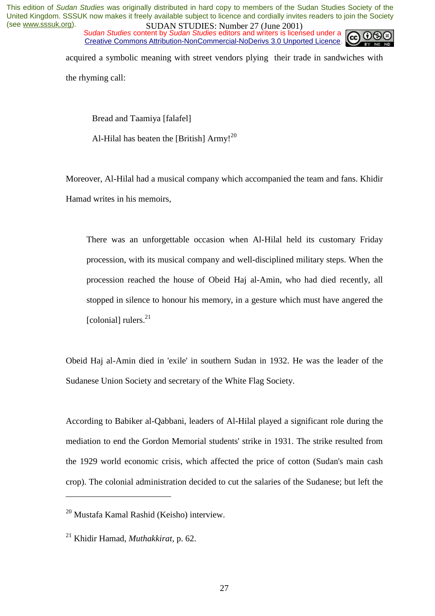*Sudan Studies content by Sudan Studies editors and writers is licensed under a* Creative Commons Attribution-NonCommercial-NoDerivs 3.0 Unported Licence.



acquired a symbolic meaning with street vendors plying their trade in sandwiches with

the rhyming call:

Bread and Taamiya [falafel]

Al-Hilal has beaten the [British]  $\text{Army}$ !<sup>20</sup>

Moreover, Al-Hilal had a musical company which accompanied the team and fans. Khidir Hamad writes in his memoirs,

There was an unforgettable occasion when Al-Hilal held its customary Friday procession, with its musical company and well-disciplined military steps. When the procession reached the house of Obeid Haj al-Amin, who had died recently, all stopped in silence to honour his memory, in a gesture which must have angered the  $[colomial]$  rulers.<sup>21</sup>

Obeid Haj al-Amin died in 'exile' in southern Sudan in 1932. He was the leader of the Sudanese Union Society and secretary of the White Flag Society.

According to Babiker al-Qabbani, leaders of Al-Hilal played a significant role during the mediation to end the Gordon Memorial students' strike in 1931. The strike resulted from the 1929 world economic crisis, which affected the price of cotton (Sudan's main cash crop). The colonial administration decided to cut the salaries of the Sudanese; but left the

<sup>20</sup> Mustafa Kamal Rashid (Keisho) interview.

<sup>21</sup> Khidir Hamad, *Muthakkirat*, p. 62.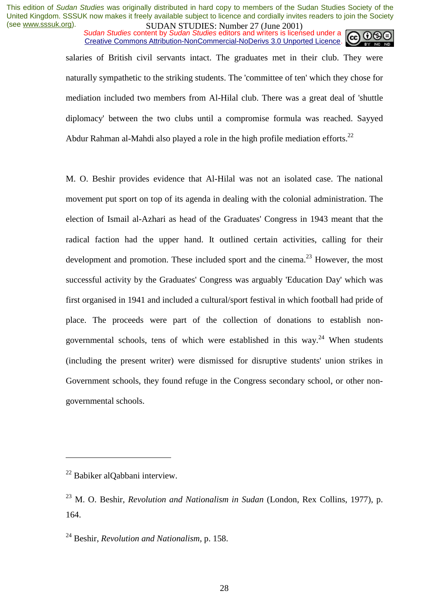*Sudan Studies content by Sudan Studies editors and writers is licensed under a* Creative Commons Attribution-NonCommercial-NoDerivs 3.0 Unported Licence.



salaries of British civil servants intact. The graduates met in their club. They were naturally sympathetic to the striking students. The 'committee of ten' which they chose for mediation included two members from Al-Hilal club. There was a great deal of 'shuttle diplomacy' between the two clubs until a compromise formula was reached. Sayyed Abdur Rahman al-Mahdi also played a role in the high profile mediation efforts.<sup>22</sup>

M. O. Beshir provides evidence that Al-Hilal was not an isolated case. The national movement put sport on top of its agenda in dealing with the colonial administration. The election of Ismail al-Azhari as head of the Graduates' Congress in 1943 meant that the radical faction had the upper hand. It outlined certain activities, calling for their development and promotion. These included sport and the cinema.<sup>23</sup> However, the most successful activity by the Graduates' Congress was arguably 'Education Day' which was first organised in 1941 and included a cultural/sport festival in which football had pride of place. The proceeds were part of the collection of donations to establish nongovernmental schools, tens of which were established in this way.<sup>24</sup> When students (including the present writer) were dismissed for disruptive students' union strikes in Government schools, they found refuge in the Congress secondary school, or other nongovernmental schools.

 $22$  Babiker alOabbani interview.

<sup>23</sup> M. O. Beshir, *Revolution and Nationalism in Sudan* (London, Rex Collins, 1977), p. 164.

<sup>24</sup> Beshir, *Revolution and Nationalism*, p. 158.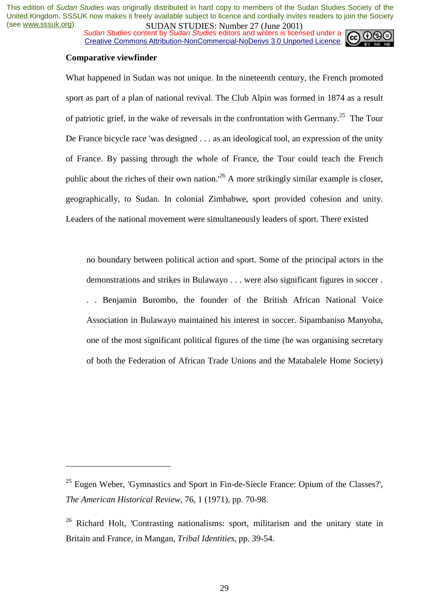*Sudan Studies content by Sudan Studies editors and writers is licensed under a* Creative Commons Attribution-NonCommercial-NoDerivs 3.0 Unported Licence.



#### **Comparative viewfinder**

 $\overline{a}$ 

What happened in Sudan was not unique. In the nineteenth century, the French promoted sport as part of a plan of national revival. The Club Alpin was formed in 1874 as a result of patriotic grief, in the wake of reversals in the confrontation with Germany.<sup>25</sup> The Tour De France bicycle race 'was designed . . . as an ideological tool, an expression of the unity of France. By passing through the whole of France, the Tour could teach the French public about the riches of their own nation.<sup> $26$ </sup> A more strikingly similar example is closer. geographically, to Sudan. In colonial Zimbabwe, sport provided cohesion and unity. Leaders of the national movement were simultaneously leaders of sport. There existed

no boundary between political action and sport. Some of the principal actors in the demonstrations and strikes in Bulawayo . . . were also significant figures in soccer . . . Benjamin Burombo, the founder of the British African National Voice Association in Bulawayo maintained his interest in soccer. Sipambaniso Manyoba, one of the most significant political figures of the time (he was organising secretary of both the Federation of African Trade Unions and the Matabalele Home Society)

 $25$  Eugen Weber, 'Gymnastics and Sport in Fin-de-Siecle France: Opium of the Classes?', *The American Historical Review*, 76, 1 (1971), pp. 70-98.

<sup>&</sup>lt;sup>26</sup> Richard Holt, 'Contrasting nationalisms: sport, militarism and the unitary state in Britain and France, in Mangan, *Tribal Identities*, pp. 39-54.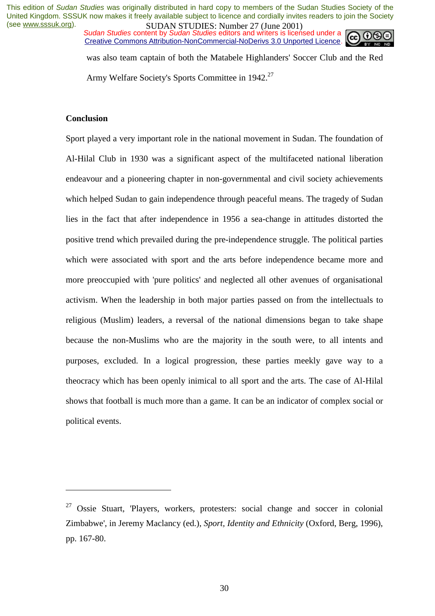*Sudan Studies content by Sudan Studies editors and writers is licensed under a* Creative Commons Attribution-NonCommercial-NoDerivs 3.0 Unported Licence.



was also team captain of both the Matabele Highlanders' Soccer Club and the Red Army Welfare Society's Sports Committee in 1942.27

## **Conclusion**

 $\overline{a}$ 

Sport played a very important role in the national movement in Sudan. The foundation of Al-Hilal Club in 1930 was a significant aspect of the multifaceted national liberation endeavour and a pioneering chapter in non-governmental and civil society achievements which helped Sudan to gain independence through peaceful means. The tragedy of Sudan lies in the fact that after independence in 1956 a sea-change in attitudes distorted the positive trend which prevailed during the pre-independence struggle. The political parties which were associated with sport and the arts before independence became more and more preoccupied with 'pure politics' and neglected all other avenues of organisational activism. When the leadership in both major parties passed on from the intellectuals to religious (Muslim) leaders, a reversal of the national dimensions began to take shape because the non-Muslims who are the majority in the south were, to all intents and purposes, excluded. In a logical progression, these parties meekly gave way to a theocracy which has been openly inimical to all sport and the arts. The case of Al-Hilal shows that football is much more than a game. It can be an indicator of complex social or political events.

<sup>27</sup> Ossie Stuart, 'Players, workers, protesters: social change and soccer in colonial Zimbabwe', in Jeremy Maclancy (ed.), *Sport, Identity and Ethnicity* (Oxford, Berg, 1996), pp. 167-80.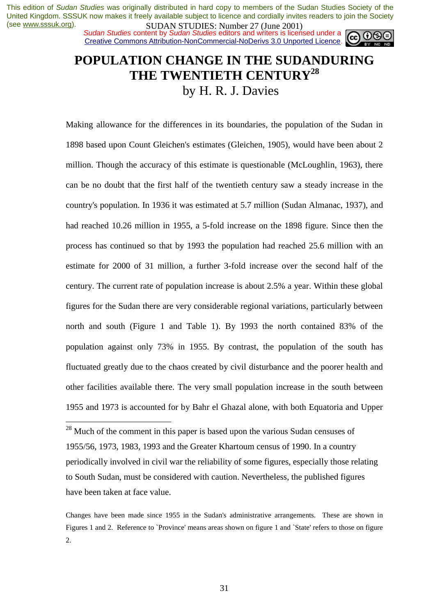*Sudan Studies content by Sudan Studies editors and writers is licensed under a* Creative Commons Attribution-NonCommercial-NoDerivs 3.0 Unported Licence.



## **POPULATION CHANGE IN THE SUDANDURING THE TWENTIETH CENTURY28** by H. R. J. Davies

Making allowance for the differences in its boundaries, the population of the Sudan in 1898 based upon Count Gleichen's estimates (Gleichen, 1905), would have been about 2 million. Though the accuracy of this estimate is questionable (McLoughlin, 1963), there can be no doubt that the first half of the twentieth century saw a steady increase in the country's population. In 1936 it was estimated at 5.7 million (Sudan Almanac, 1937), and had reached 10.26 million in 1955, a 5-fold increase on the 1898 figure. Since then the process has continued so that by 1993 the population had reached 25.6 million with an estimate for 2000 of 31 million, a further 3-fold increase over the second half of the century. The current rate of population increase is about 2.5% a year. Within these global figures for the Sudan there are very considerable regional variations, particularly between north and south (Figure 1 and Table 1). By 1993 the north contained 83% of the population against only 73% in 1955. By contrast, the population of the south has fluctuated greatly due to the chaos created by civil disturbance and the poorer health and other facilities available there. The very small population increase in the south between 1955 and 1973 is accounted for by Bahr el Ghazal alone, with both Equatoria and Upper

 $28$  Much of the comment in this paper is based upon the various Sudan censuses of 1955/56, 1973, 1983, 1993 and the Greater Khartoum census of 1990. In a country periodically involved in civil war the reliability of some figures, especially those relating to South Sudan, must be considered with caution. Nevertheless, the published figures have been taken at face value.

Changes have been made since 1955 in the Sudan's administrative arrangements. These are shown in Figures 1 and 2. Reference to `Province' means areas shown on figure 1 and `State' refers to those on figure 2.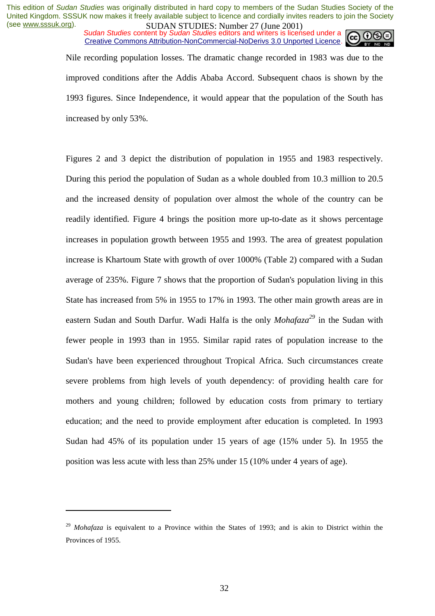*Sudan Studies content by Sudan Studies editors and writers is licensed under a* Creative Commons Attribution-NonCommercial-NoDerivs 3.0 Unported Licence.



Nile recording population losses. The dramatic change recorded in 1983 was due to the improved conditions after the Addis Ababa Accord. Subsequent chaos is shown by the 1993 figures. Since Independence, it would appear that the population of the South has increased by only 53%.

Figures 2 and 3 depict the distribution of population in 1955 and 1983 respectively. During this period the population of Sudan as a whole doubled from 10.3 million to 20.5 and the increased density of population over almost the whole of the country can be readily identified. Figure 4 brings the position more up-to-date as it shows percentage increases in population growth between 1955 and 1993. The area of greatest population increase is Khartoum State with growth of over 1000% (Table 2) compared with a Sudan average of 235%. Figure 7 shows that the proportion of Sudan's population living in this State has increased from 5% in 1955 to 17% in 1993. The other main growth areas are in eastern Sudan and South Darfur. Wadi Halfa is the only *Mohafaza*<sup>29</sup> in the Sudan with fewer people in 1993 than in 1955. Similar rapid rates of population increase to the Sudan's have been experienced throughout Tropical Africa. Such circumstances create severe problems from high levels of youth dependency: of providing health care for mothers and young children; followed by education costs from primary to tertiary education; and the need to provide employment after education is completed. In 1993 Sudan had 45% of its population under 15 years of age (15% under 5). In 1955 the position was less acute with less than 25% under 15 (10% under 4 years of age).

<sup>&</sup>lt;sup>29</sup> *Mohafaza* is equivalent to a Province within the States of 1993; and is akin to District within the Provinces of 1955.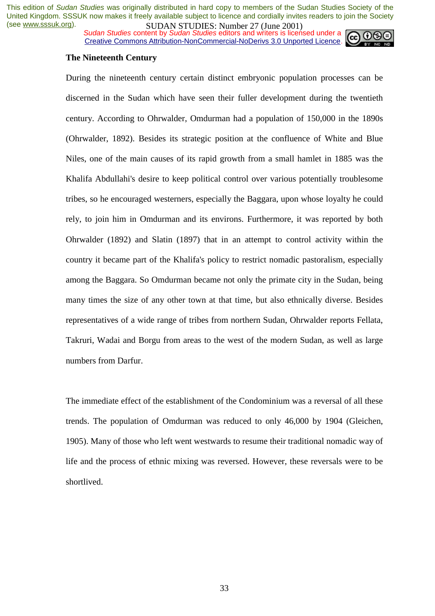*Sudan Studies content by Sudan Studies editors and writers is licensed under a* Creative Commons Attribution-NonCommercial-NoDerivs 3.0 Unported Licence.



#### **The Nineteenth Century**

During the nineteenth century certain distinct embryonic population processes can be discerned in the Sudan which have seen their fuller development during the twentieth century. According to Ohrwalder, Omdurman had a population of 150,000 in the 1890s (Ohrwalder, 1892). Besides its strategic position at the confluence of White and Blue Niles, one of the main causes of its rapid growth from a small hamlet in 1885 was the Khalifa Abdullahi's desire to keep political control over various potentially troublesome tribes, so he encouraged westerners, especially the Baggara, upon whose loyalty he could rely, to join him in Omdurman and its environs. Furthermore, it was reported by both Ohrwalder (1892) and Slatin (1897) that in an attempt to control activity within the country it became part of the Khalifa's policy to restrict nomadic pastoralism, especially among the Baggara. So Omdurman became not only the primate city in the Sudan, being many times the size of any other town at that time, but also ethnically diverse. Besides representatives of a wide range of tribes from northern Sudan, Ohrwalder reports Fellata, Takruri, Wadai and Borgu from areas to the west of the modern Sudan, as well as large numbers from Darfur.

The immediate effect of the establishment of the Condominium was a reversal of all these trends. The population of Omdurman was reduced to only 46,000 by 1904 (Gleichen, 1905). Many of those who left went westwards to resume their traditional nomadic way of life and the process of ethnic mixing was reversed. However, these reversals were to be shortlived.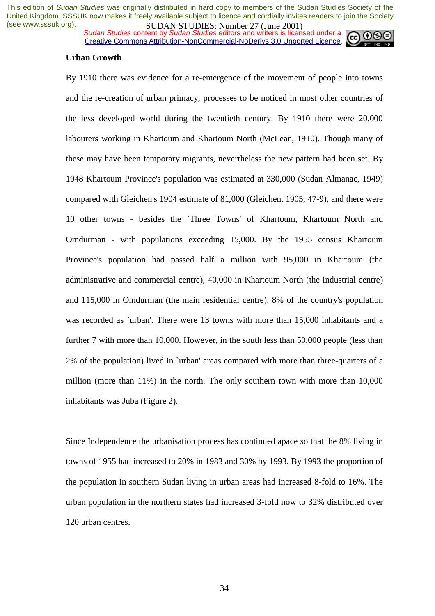*Sudan Studies content by Sudan Studies editors and writers is licensed under a* Creative Commons Attribution-NonCommercial-NoDerivs 3.0 Unported Licence.



#### **Urban Growth**

By 1910 there was evidence for a re-emergence of the movement of people into towns and the re-creation of urban primacy, processes to be noticed in most other countries of the less developed world during the twentieth century. By 1910 there were 20,000 labourers working in Khartoum and Khartoum North (McLean, 1910). Though many of these may have been temporary migrants, nevertheless the new pattern had been set. By 1948 Khartoum Province's population was estimated at 330,000 (Sudan Almanac, 1949) compared with Gleichen's 1904 estimate of 81,000 (Gleichen, 1905, 47-9), and there were 10 other towns - besides the `Three Towns' of Khartoum, Khartoum North and Omdurman - with populations exceeding 15,000. By the 1955 census Khartoum Province's population had passed half a million with 95,000 in Khartoum (the administrative and commercial centre), 40,000 in Khartoum North (the industrial centre) and 115,000 in Omdurman (the main residential centre). 8% of the country's population was recorded as `urban'. There were 13 towns with more than 15,000 inhabitants and a further 7 with more than 10,000. However, in the south less than 50,000 people (less than 2% of the population) lived in `urban' areas compared with more than three-quarters of a million (more than 11%) in the north. The only southern town with more than 10,000 inhabitants was Juba (Figure 2).

Since Independence the urbanisation process has continued apace so that the 8% living in towns of 1955 had increased to 20% in 1983 and 30% by 1993. By 1993 the proportion of the population in southern Sudan living in urban areas had increased 8-fold to 16%. The urban population in the northern states had increased 3-fold now to 32% distributed over 120 urban centres.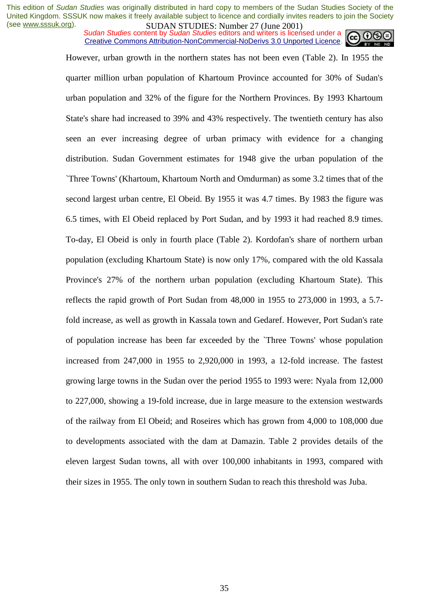*Sudan Studies content by Sudan Studies editors and writers is licensed under a* Creative Commons Attribution-NonCommercial-NoDerivs 3.0 Unported Licence.



However, urban growth in the northern states has not been even (Table 2). In 1955 the quarter million urban population of Khartoum Province accounted for 30% of Sudan's urban population and 32% of the figure for the Northern Provinces. By 1993 Khartoum State's share had increased to 39% and 43% respectively. The twentieth century has also seen an ever increasing degree of urban primacy with evidence for a changing distribution. Sudan Government estimates for 1948 give the urban population of the `Three Towns' (Khartoum, Khartoum North and Omdurman) as some 3.2 times that of the second largest urban centre, El Obeid. By 1955 it was 4.7 times. By 1983 the figure was 6.5 times, with El Obeid replaced by Port Sudan, and by 1993 it had reached 8.9 times. To-day, El Obeid is only in fourth place (Table 2). Kordofan's share of northern urban population (excluding Khartoum State) is now only 17%, compared with the old Kassala Province's 27% of the northern urban population (excluding Khartoum State). This reflects the rapid growth of Port Sudan from 48,000 in 1955 to 273,000 in 1993, a 5.7 fold increase, as well as growth in Kassala town and Gedaref. However, Port Sudan's rate of population increase has been far exceeded by the `Three Towns' whose population increased from 247,000 in 1955 to 2,920,000 in 1993, a 12-fold increase. The fastest growing large towns in the Sudan over the period 1955 to 1993 were: Nyala from 12,000 to 227,000, showing a 19-fold increase, due in large measure to the extension westwards of the railway from El Obeid; and Roseires which has grown from 4,000 to 108,000 due to developments associated with the dam at Damazin. Table 2 provides details of the eleven largest Sudan towns, all with over 100,000 inhabitants in 1993, compared with their sizes in 1955. The only town in southern Sudan to reach this threshold was Juba.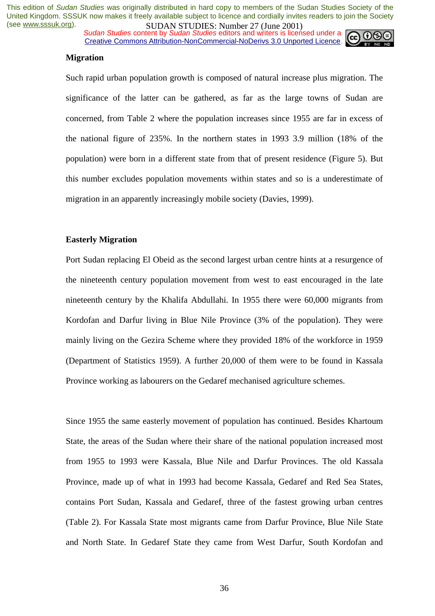*Sudan Studies content by Sudan Studies editors and writers is licensed under a* Creative Commons Attribution-NonCommercial-NoDerivs 3.0 Unported Licence.



#### **Migration**

Such rapid urban population growth is composed of natural increase plus migration. The significance of the latter can be gathered, as far as the large towns of Sudan are concerned, from Table 2 where the population increases since 1955 are far in excess of the national figure of 235%. In the northern states in 1993 3.9 million (18% of the population) were born in a different state from that of present residence (Figure 5). But this number excludes population movements within states and so is a underestimate of migration in an apparently increasingly mobile society (Davies, 1999).

#### **Easterly Migration**

Port Sudan replacing El Obeid as the second largest urban centre hints at a resurgence of the nineteenth century population movement from west to east encouraged in the late nineteenth century by the Khalifa Abdullahi. In 1955 there were 60,000 migrants from Kordofan and Darfur living in Blue Nile Province (3% of the population). They were mainly living on the Gezira Scheme where they provided 18% of the workforce in 1959 (Department of Statistics 1959). A further 20,000 of them were to be found in Kassala Province working as labourers on the Gedaref mechanised agriculture schemes.

Since 1955 the same easterly movement of population has continued. Besides Khartoum State, the areas of the Sudan where their share of the national population increased most from 1955 to 1993 were Kassala, Blue Nile and Darfur Provinces. The old Kassala Province, made up of what in 1993 had become Kassala, Gedaref and Red Sea States, contains Port Sudan, Kassala and Gedaref, three of the fastest growing urban centres (Table 2). For Kassala State most migrants came from Darfur Province, Blue Nile State and North State. In Gedaref State they came from West Darfur, South Kordofan and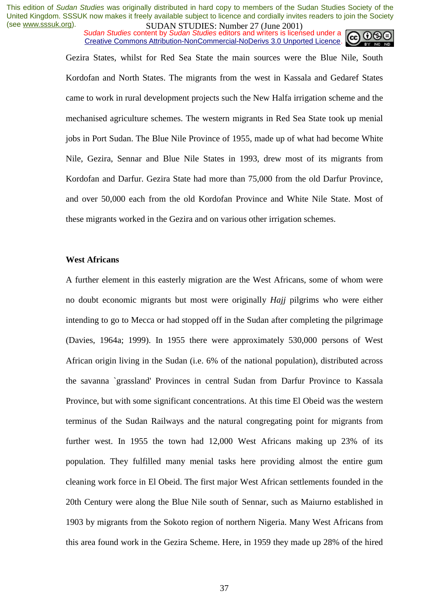*Sudan Studies content by Sudan Studies editors and writers is licensed under a* Creative Commons Attribution-NonCommercial-NoDerivs 3.0 Unported Licence.



Gezira States, whilst for Red Sea State the main sources were the Blue Nile, South Kordofan and North States. The migrants from the west in Kassala and Gedaref States came to work in rural development projects such the New Halfa irrigation scheme and the mechanised agriculture schemes. The western migrants in Red Sea State took up menial jobs in Port Sudan. The Blue Nile Province of 1955, made up of what had become White Nile, Gezira, Sennar and Blue Nile States in 1993, drew most of its migrants from Kordofan and Darfur. Gezira State had more than 75,000 from the old Darfur Province, and over 50,000 each from the old Kordofan Province and White Nile State. Most of these migrants worked in the Gezira and on various other irrigation schemes.

## **West Africans**

A further element in this easterly migration are the West Africans, some of whom were no doubt economic migrants but most were originally *Hajj* pilgrims who were either intending to go to Mecca or had stopped off in the Sudan after completing the pilgrimage (Davies, 1964a; 1999). In 1955 there were approximately 530,000 persons of West African origin living in the Sudan (i.e. 6% of the national population), distributed across the savanna `grassland' Provinces in central Sudan from Darfur Province to Kassala Province, but with some significant concentrations. At this time El Obeid was the western terminus of the Sudan Railways and the natural congregating point for migrants from further west. In 1955 the town had 12,000 West Africans making up 23% of its population. They fulfilled many menial tasks here providing almost the entire gum cleaning work force in El Obeid. The first major West African settlements founded in the 20th Century were along the Blue Nile south of Sennar, such as Maiurno established in 1903 by migrants from the Sokoto region of northern Nigeria. Many West Africans from this area found work in the Gezira Scheme. Here, in 1959 they made up 28% of the hired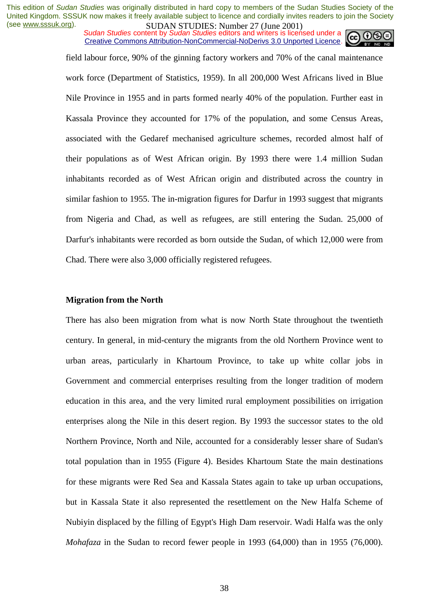*Sudan Studies content by Sudan Studies editors and writers is licensed under a* Creative Commons Attribution-NonCommercial-NoDerivs 3.0 Unported Licence.

> field labour force, 90% of the ginning factory workers and 70% of the canal maintenance work force (Department of Statistics, 1959). In all 200,000 West Africans lived in Blue Nile Province in 1955 and in parts formed nearly 40% of the population. Further east in Kassala Province they accounted for 17% of the population, and some Census Areas, associated with the Gedaref mechanised agriculture schemes, recorded almost half of their populations as of West African origin. By 1993 there were 1.4 million Sudan inhabitants recorded as of West African origin and distributed across the country in similar fashion to 1955. The in-migration figures for Darfur in 1993 suggest that migrants from Nigeria and Chad, as well as refugees, are still entering the Sudan. 25,000 of Darfur's inhabitants were recorded as born outside the Sudan, of which 12,000 were from Chad. There were also 3,000 officially registered refugees.

## **Migration from the North**

There has also been migration from what is now North State throughout the twentieth century. In general, in mid-century the migrants from the old Northern Province went to urban areas, particularly in Khartoum Province, to take up white collar jobs in Government and commercial enterprises resulting from the longer tradition of modern education in this area, and the very limited rural employment possibilities on irrigation enterprises along the Nile in this desert region. By 1993 the successor states to the old Northern Province, North and Nile, accounted for a considerably lesser share of Sudan's total population than in 1955 (Figure 4). Besides Khartoum State the main destinations for these migrants were Red Sea and Kassala States again to take up urban occupations, but in Kassala State it also represented the resettlement on the New Halfa Scheme of Nubiyin displaced by the filling of Egypt's High Dam reservoir. Wadi Halfa was the only *Mohafaza* in the Sudan to record fewer people in 1993 (64,000) than in 1955 (76,000).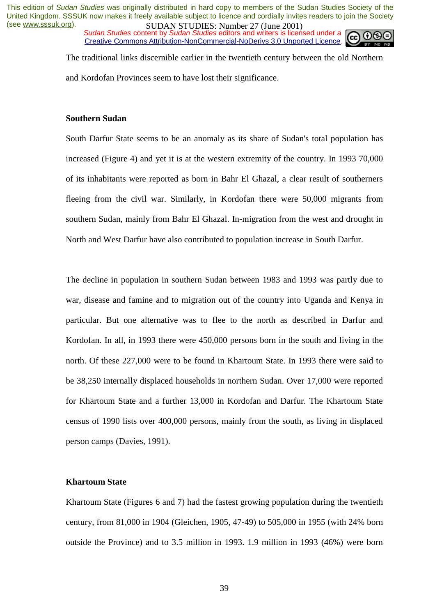*Sudan Studies content by Sudan Studies editors and writers is licensed under a* Creative Commons Attribution-NonCommercial-NoDerivs 3.0 Unported Licence.



The traditional links discernible earlier in the twentieth century between the old Northern and Kordofan Provinces seem to have lost their significance.

## **Southern Sudan**

South Darfur State seems to be an anomaly as its share of Sudan's total population has increased (Figure 4) and yet it is at the western extremity of the country. In 1993 70,000 of its inhabitants were reported as born in Bahr El Ghazal, a clear result of southerners fleeing from the civil war. Similarly, in Kordofan there were 50,000 migrants from southern Sudan, mainly from Bahr El Ghazal. In-migration from the west and drought in North and West Darfur have also contributed to population increase in South Darfur.

The decline in population in southern Sudan between 1983 and 1993 was partly due to war, disease and famine and to migration out of the country into Uganda and Kenya in particular. But one alternative was to flee to the north as described in Darfur and Kordofan. In all, in 1993 there were 450,000 persons born in the south and living in the north. Of these 227,000 were to be found in Khartoum State. In 1993 there were said to be 38,250 internally displaced households in northern Sudan. Over 17,000 were reported for Khartoum State and a further 13,000 in Kordofan and Darfur. The Khartoum State census of 1990 lists over 400,000 persons, mainly from the south, as living in displaced person camps (Davies, 1991).

## **Khartoum State**

Khartoum State (Figures 6 and 7) had the fastest growing population during the twentieth century, from 81,000 in 1904 (Gleichen, 1905, 47-49) to 505,000 in 1955 (with 24% born outside the Province) and to 3.5 million in 1993. 1.9 million in 1993 (46%) were born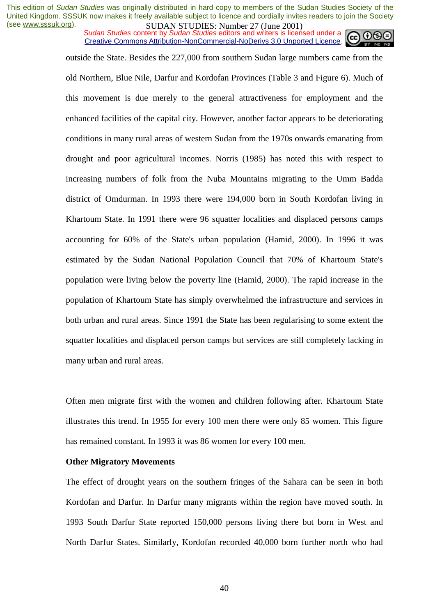*Sudan Studies content by Sudan Studies editors and writers is licensed under a* Creative Commons Attribution-NonCommercial-NoDerivs 3.0 Unported Licence.



outside the State. Besides the 227,000 from southern Sudan large numbers came from the old Northern, Blue Nile, Darfur and Kordofan Provinces (Table 3 and Figure 6). Much of this movement is due merely to the general attractiveness for employment and the enhanced facilities of the capital city. However, another factor appears to be deteriorating conditions in many rural areas of western Sudan from the 1970s onwards emanating from drought and poor agricultural incomes. Norris (1985) has noted this with respect to increasing numbers of folk from the Nuba Mountains migrating to the Umm Badda district of Omdurman. In 1993 there were 194,000 born in South Kordofan living in Khartoum State. In 1991 there were 96 squatter localities and displaced persons camps accounting for 60% of the State's urban population (Hamid, 2000). In 1996 it was estimated by the Sudan National Population Council that 70% of Khartoum State's population were living below the poverty line (Hamid, 2000). The rapid increase in the population of Khartoum State has simply overwhelmed the infrastructure and services in both urban and rural areas. Since 1991 the State has been regularising to some extent the squatter localities and displaced person camps but services are still completely lacking in many urban and rural areas.

Often men migrate first with the women and children following after. Khartoum State illustrates this trend. In 1955 for every 100 men there were only 85 women. This figure has remained constant. In 1993 it was 86 women for every 100 men.

#### **Other Migratory Movements**

The effect of drought years on the southern fringes of the Sahara can be seen in both Kordofan and Darfur. In Darfur many migrants within the region have moved south. In 1993 South Darfur State reported 150,000 persons living there but born in West and North Darfur States. Similarly, Kordofan recorded 40,000 born further north who had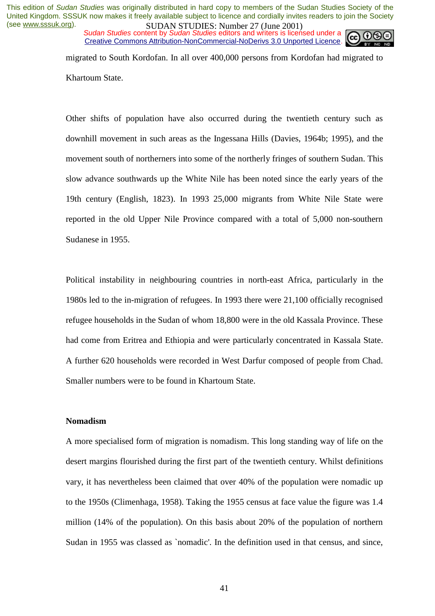*Sudan Studies* content by *Sudan Studies* editors and writers is licensed under a Creative Commons Attribution-NonCommercial-NoDerivs 3.0 Unported Licence.



migrated to South Kordofan. In all over 400,000 persons from Kordofan had migrated to Khartoum State.

Other shifts of population have also occurred during the twentieth century such as downhill movement in such areas as the Ingessana Hills (Davies, 1964b; 1995), and the movement south of northerners into some of the northerly fringes of southern Sudan. This slow advance southwards up the White Nile has been noted since the early years of the 19th century (English, 1823). In 1993 25,000 migrants from White Nile State were reported in the old Upper Nile Province compared with a total of 5,000 non-southern Sudanese in 1955.

Political instability in neighbouring countries in north-east Africa, particularly in the 1980s led to the in-migration of refugees. In 1993 there were 21,100 officially recognised refugee households in the Sudan of whom 18,800 were in the old Kassala Province. These had come from Eritrea and Ethiopia and were particularly concentrated in Kassala State. A further 620 households were recorded in West Darfur composed of people from Chad. Smaller numbers were to be found in Khartoum State.

#### **Nomadism**

A more specialised form of migration is nomadism. This long standing way of life on the desert margins flourished during the first part of the twentieth century. Whilst definitions vary, it has nevertheless been claimed that over 40% of the population were nomadic up to the 1950s (Climenhaga, 1958). Taking the 1955 census at face value the figure was 1.4 million (14% of the population). On this basis about 20% of the population of northern Sudan in 1955 was classed as `nomadic'. In the definition used in that census, and since,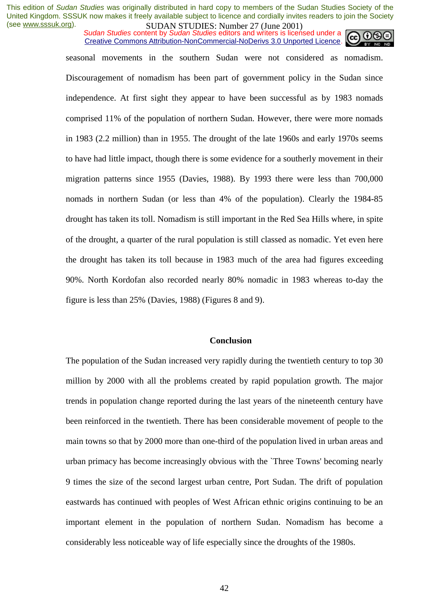*Sudan Studies content by Sudan Studies editors and writers is licensed under a* Creative Commons Attribution-NonCommercial-NoDerivs 3.0 Unported Licence.



seasonal movements in the southern Sudan were not considered as nomadism. Discouragement of nomadism has been part of government policy in the Sudan since independence. At first sight they appear to have been successful as by 1983 nomads comprised 11% of the population of northern Sudan. However, there were more nomads in 1983 (2.2 million) than in 1955. The drought of the late 1960s and early 1970s seems to have had little impact, though there is some evidence for a southerly movement in their migration patterns since 1955 (Davies, 1988). By 1993 there were less than 700,000 nomads in northern Sudan (or less than 4% of the population). Clearly the 1984-85 drought has taken its toll. Nomadism is still important in the Red Sea Hills where, in spite of the drought, a quarter of the rural population is still classed as nomadic. Yet even here the drought has taken its toll because in 1983 much of the area had figures exceeding 90%. North Kordofan also recorded nearly 80% nomadic in 1983 whereas to-day the figure is less than 25% (Davies, 1988) (Figures 8 and 9).

#### **Conclusion**

The population of the Sudan increased very rapidly during the twentieth century to top 30 million by 2000 with all the problems created by rapid population growth. The major trends in population change reported during the last years of the nineteenth century have been reinforced in the twentieth. There has been considerable movement of people to the main towns so that by 2000 more than one-third of the population lived in urban areas and urban primacy has become increasingly obvious with the `Three Towns' becoming nearly 9 times the size of the second largest urban centre, Port Sudan. The drift of population eastwards has continued with peoples of West African ethnic origins continuing to be an important element in the population of northern Sudan. Nomadism has become a considerably less noticeable way of life especially since the droughts of the 1980s.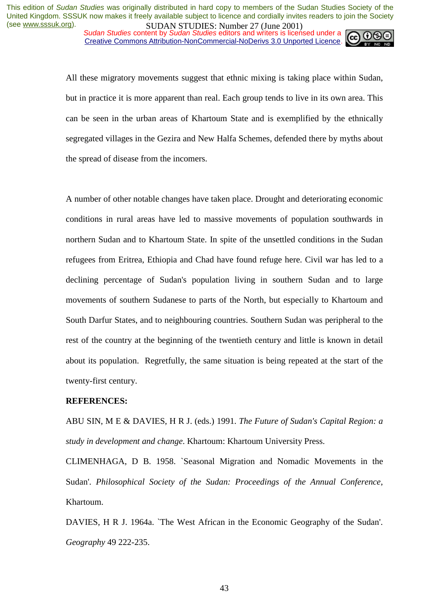*Sudan Studies content by Sudan Studies editors and writers is licensed under a* Creative Commons Attribution-NonCommercial-NoDerivs 3.0 Unported Licence.



All these migratory movements suggest that ethnic mixing is taking place within Sudan, but in practice it is more apparent than real. Each group tends to live in its own area. This can be seen in the urban areas of Khartoum State and is exemplified by the ethnically segregated villages in the Gezira and New Halfa Schemes, defended there by myths about the spread of disease from the incomers.

A number of other notable changes have taken place. Drought and deteriorating economic conditions in rural areas have led to massive movements of population southwards in northern Sudan and to Khartoum State. In spite of the unsettled conditions in the Sudan refugees from Eritrea, Ethiopia and Chad have found refuge here. Civil war has led to a declining percentage of Sudan's population living in southern Sudan and to large movements of southern Sudanese to parts of the North, but especially to Khartoum and South Darfur States, and to neighbouring countries. Southern Sudan was peripheral to the rest of the country at the beginning of the twentieth century and little is known in detail about its population. Regretfully, the same situation is being repeated at the start of the twenty-first century.

#### **REFERENCES:**

ABU SIN, M E & DAVIES, H R J. (eds.) 1991. *The Future of Sudan's Capital Region: a study in development and change*. Khartoum: Khartoum University Press.

CLIMENHAGA, D B. 1958. `Seasonal Migration and Nomadic Movements in the Sudan'. *Philosophical Society of the Sudan: Proceedings of the Annual Conference*, Khartoum.

DAVIES, H R J. 1964a. `The West African in the Economic Geography of the Sudan'. *Geography* 49 222-235.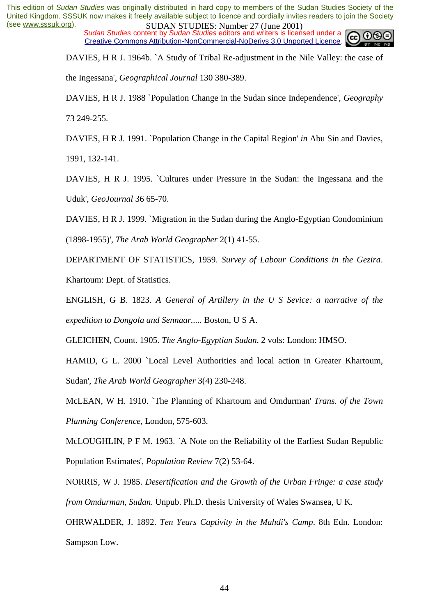*Sudan Studies content by Sudan Studies editors and writers is licensed under a* Creative Commons Attribution-NonCommercial-NoDerivs 3.0 Unported Licence.



DAVIES, H R J. 1964b. `A Study of Tribal Re-adjustment in the Nile Valley: the case of

the Ingessana', *Geographical Journal* 130 380-389.

DAVIES, H R J. 1988 `Population Change in the Sudan since Independence', *Geography* 73 249-255.

DAVIES, H R J. 1991. `Population Change in the Capital Region' *in* Abu Sin and Davies,

1991, 132-141.

DAVIES, H R J. 1995. `Cultures under Pressure in the Sudan: the Ingessana and the Uduk', *GeoJournal* 36 65-70.

DAVIES, H R J. 1999. `Migration in the Sudan during the Anglo-Egyptian Condominium (1898-1955)', *The Arab World Geographer* 2(1) 41-55.

DEPARTMENT OF STATISTICS, 1959. *Survey of Labour Conditions in the Gezira*. Khartoum: Dept. of Statistics.

ENGLISH, G B. 1823. *A General of Artillery in the U S Sevice: a narrative of the expedition to Dongola and Sennaar.....* Boston, U S A.

GLEICHEN, Count. 1905. *The Anglo-Egyptian Sudan*. 2 vols: London: HMSO.

HAMID, G L. 2000 `Local Level Authorities and local action in Greater Khartoum, Sudan', *The Arab World Geographer* 3(4) 230-248.

McLEAN, W H. 1910. `The Planning of Khartoum and Omdurman' *Trans. of the Town Planning Conference*, London, 575-603.

McLOUGHLIN, P F M. 1963. `A Note on the Reliability of the Earliest Sudan Republic Population Estimates', *Population Review* 7(2) 53-64.

NORRIS, W J. 1985. *Desertification and the Growth of the Urban Fringe: a case study from Omdurman, Sudan*. Unpub. Ph.D. thesis University of Wales Swansea, U K.

OHRWALDER, J. 1892. *Ten Years Captivity in the Mahdi's Camp*. 8th Edn. London: Sampson Low.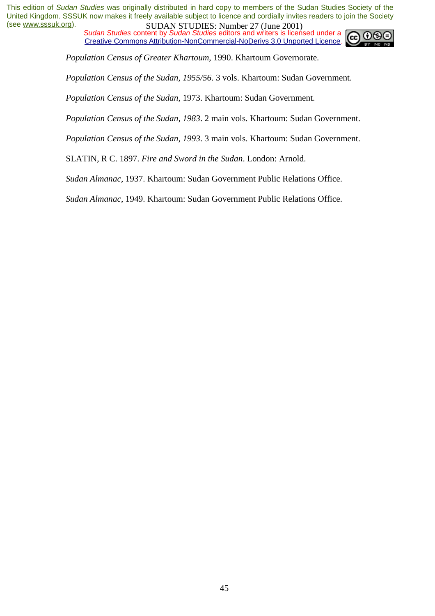*Sudan Studies content by Sudan Studies editors and writers is licensed under a* Creative Commons Attribution-NonCommercial-NoDerivs 3.0 Unported Licence.



*Population Census of Greater Khartoum*, 1990. Khartoum Governorate.

*Population Census of the Sudan, 1955/56*. 3 vols. Khartoum: Sudan Government.

*Population Census of the Sudan*, 1973. Khartoum: Sudan Government.

*Population Census of the Sudan, 1983*. 2 main vols. Khartoum: Sudan Government.

*Population Census of the Sudan, 1993*. 3 main vols. Khartoum: Sudan Government.

SLATIN, R C. 1897. *Fire and Sword in the Sudan*. London: Arnold.

*Sudan Almanac*, 1937. Khartoum: Sudan Government Public Relations Office.

*Sudan Almanac*, 1949. Khartoum: Sudan Government Public Relations Office.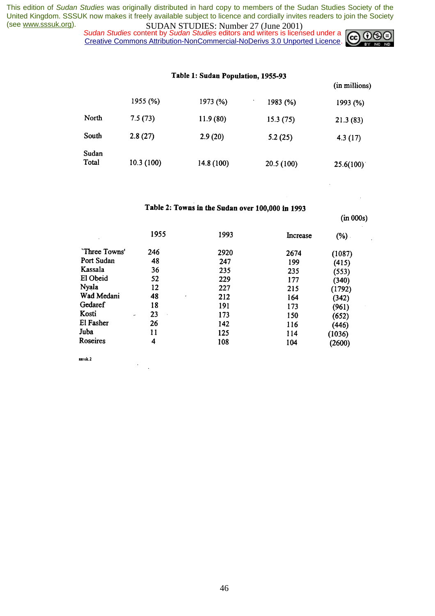*Sudan Studies content by Sudan Studies editors and writers is licensed under a* Creative Commons Attribution-NonCommercial-NoDerivs 3.0 Unported Licence.



(in millions)

 $\ddot{\phantom{0}}$ 

 $(in 000s)$ 

|                | 1955 (%)  | 1973 (%)   | 1983 (%)   | 1993 (%)  |
|----------------|-----------|------------|------------|-----------|
| North          | 7.5(73)   | 11.9(80)   | 15.3(75)   | 21.3(83)  |
| South          | 2.8(27)   | 2.9(20)    | 5.2(25)    | 4.3(17)   |
| Sudan<br>Total | 10.3(100) | 14.8 (100) | 20.5 (100) | 25.6(100) |

## Table 2: Towns in the Sudan over 100,000 in 1993

|               | 1955    | 1993 | Increase | (%) .  |
|---------------|---------|------|----------|--------|
| 'Three Towns' | 246     | 2920 | 2674     | (1087) |
| Port Sudan    | 48      | 247  | 199      | (415)  |
| Kassala       | 36      | 235  | 235      | (553)  |
| El Obeid      | 52      | 229  | 177      | (340)  |
| <b>Nyala</b>  | 12      | 227  | 215      | (1792) |
| Wad Medani    | 48<br>٠ | 212  | 164      | (342)  |
| Gedaref       | 18      | 191  | 173      | (961)  |
| Kosti<br>۰    | 23      | 173  | 150      | (652)  |
| El Fasher     | 26      | 142  | 116      | (446)  |
| Juba          | 11      | 125  | 114      | (1036) |
| Roseires      | 4       | 108  | 104      | (2600) |

sssuk.2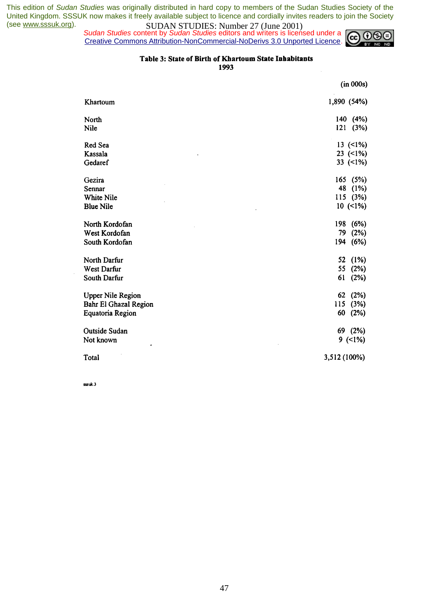*Sudan Studies content by Sudan Studies editors and writers is licensed under a* Creative Commons Attribution-NonCommercial-NoDerivs 3.0 Unported Licence.



 $\mathcal{A}$ 

#### Table 3: State of Birth of Khartoum State Inhabitants

1993

|                          | (in 000s)    |
|--------------------------|--------------|
| Khartoum                 | 1,890 (54%)  |
| North                    | 140<br>(4%)  |
| Nile                     | 121<br>(3%)  |
| Red Sea                  | 13(1%)       |
| Kassala                  | 23 $(1\%)$   |
| Gedaref                  | 33 $(1\%)$   |
| Gezira                   | 165 (5%)     |
| Sennar                   | 48<br>(1%)   |
| White Nile               | 115 (3%)     |
| <b>Blue Nile</b>         | $10(1\%)$    |
| North Kordofan           | 198<br>(6%)  |
| West Kordofan            | 79<br>(2%)   |
| South Kordofan           | 194<br>(6%)  |
| North Darfur             | (1%)<br>52   |
| West Darfur              | 55<br>(2%)   |
| South Darfur             | 61<br>(2%)   |
| <b>Upper Nile Region</b> | (2%)<br>62   |
| Bahr El Ghazal Region    | (3%)<br>115  |
| Equatoria Region         | 60<br>(2%)   |
| Outside Sudan            | 69 (2%)      |
| Not known<br>٠           | $9(1\%)$     |
| Total                    | 3,512 (100%) |

sssuk.3

 $\bar{z}$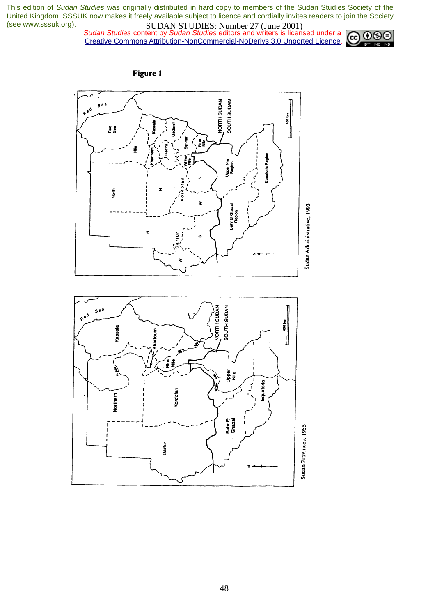*Sudan Studies content by Sudan Studies editors and writers is licensed under a* Creative Commons Attribution-NonCommercial-NoDerivs 3.0 Unported Licence.





**Figure 1**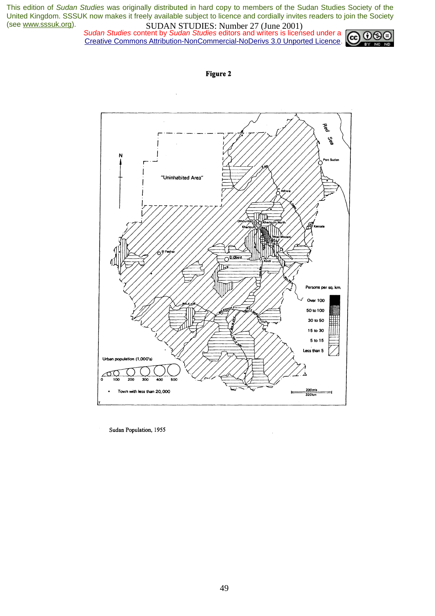*Sudan Studies content by Sudan Studies editors and writers is licensed under a* Creative Commons Attribution-NonCommercial-NoDerivs 3.0 Unported Licence.







Sudan Population, 1955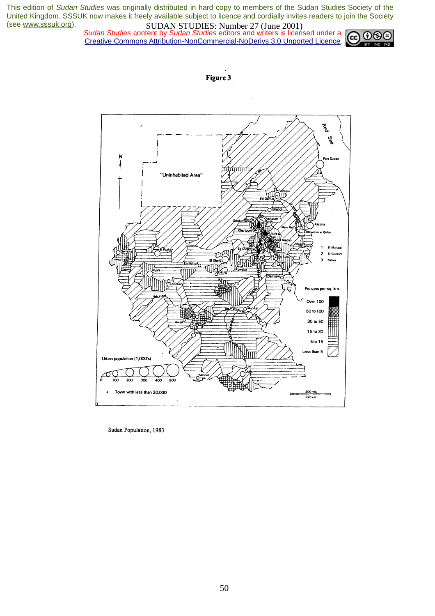*Sudan Studies content by Sudan Studies editors and writers is licensed under a* Creative Commons Attribution-NonCommercial-NoDerivs 3.0 Unported Licence.





Sudan Population, 1983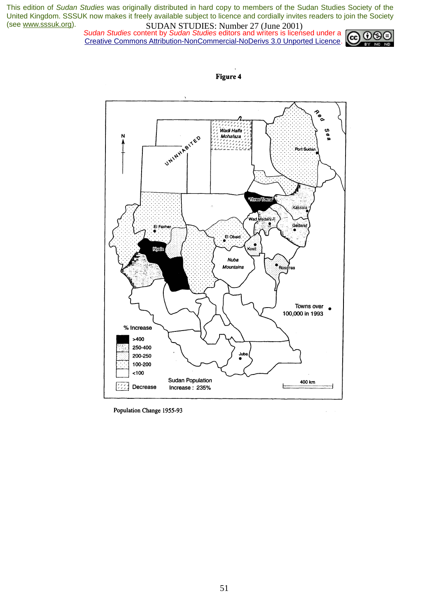*Sudan Studies content by Sudan Studies editors and writers is licensed under a* Creative Commons Attribution-NonCommercial-NoDerivs 3.0 Unported Licence.





Population Change 1955-93

**Figure 4**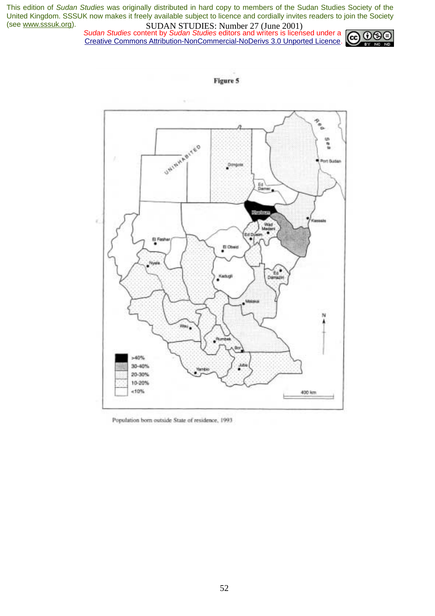#### *Sudan Studies content by Sudan Studies editors and writers is licensed under a* Creative Commons Attribution-NonCommercial-NoDerivs 3.0 Unported Licence.





Population born outside State of residence, 1993

Figure 5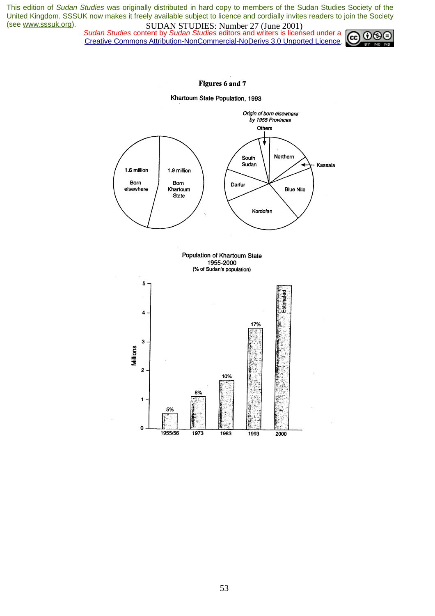*Sudan Studies content by Sudan Studies editors and writers is licensed under a* Creative Commons Attribution-NonCommercial-NoDerivs 3.0 Unported Licence.



#### Figures 6 and 7

Khartoum State Population, 1993

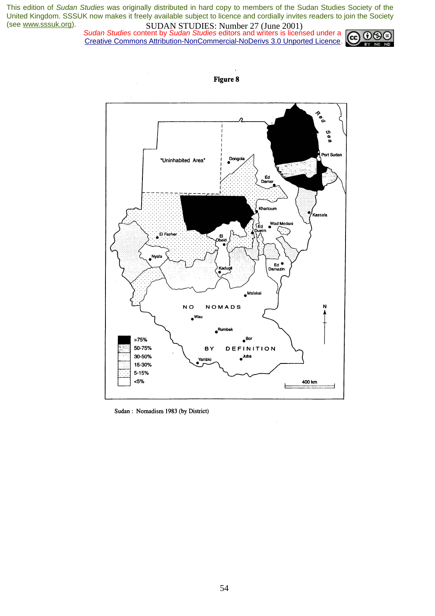*Sudan Studies content by Sudan Studies editors and writers is licensed under a* Creative Commons Attribution-NonCommercial-NoDerivs 3.0 Unported Licence.





Sudan: Nomadism 1983 (by District)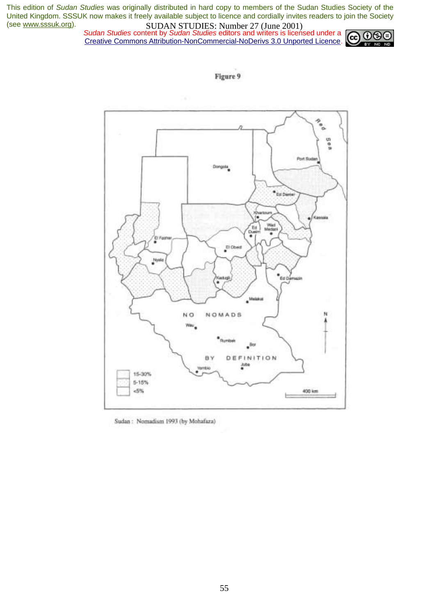*Sudan Studies content by Sudan Studies editors and writers is licensed under a* Creative Commons Attribution-NonCommercial-NoDerivs 3.0 Unported Licence.



Figure 9



Sudan: Nomadism 1993 (by Mohafaza)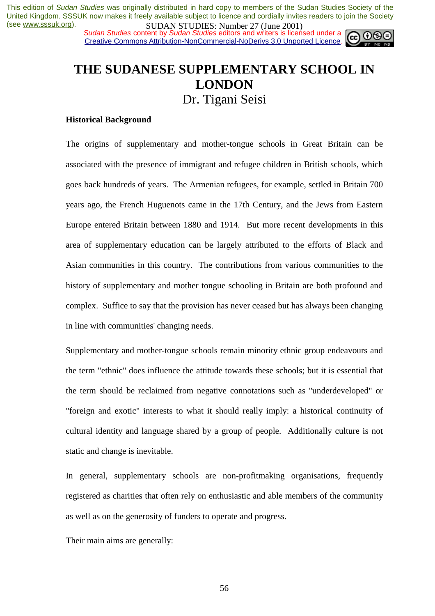*Sudan Studies content by Sudan Studies editors and writers is licensed under a* Creative Commons Attribution-NonCommercial-NoDerivs 3.0 Unported Licence.



## **THE SUDANESE SUPPLEMENTARY SCHOOL IN LONDON**  Dr. Tigani Seisi

#### **Historical Background**

The origins of supplementary and mother-tongue schools in Great Britain can be associated with the presence of immigrant and refugee children in British schools, which goes back hundreds of years. The Armenian refugees, for example, settled in Britain 700 years ago, the French Huguenots came in the 17th Century, and the Jews from Eastern Europe entered Britain between 1880 and 1914. But more recent developments in this area of supplementary education can be largely attributed to the efforts of Black and Asian communities in this country. The contributions from various communities to the history of supplementary and mother tongue schooling in Britain are both profound and complex. Suffice to say that the provision has never ceased but has always been changing in line with communities' changing needs.

Supplementary and mother-tongue schools remain minority ethnic group endeavours and the term "ethnic" does influence the attitude towards these schools; but it is essential that the term should be reclaimed from negative connotations such as "underdeveloped" or "foreign and exotic" interests to what it should really imply: a historical continuity of cultural identity and language shared by a group of people. Additionally culture is not static and change is inevitable.

In general, supplementary schools are non-profitmaking organisations, frequently registered as charities that often rely on enthusiastic and able members of the community as well as on the generosity of funders to operate and progress.

Their main aims are generally: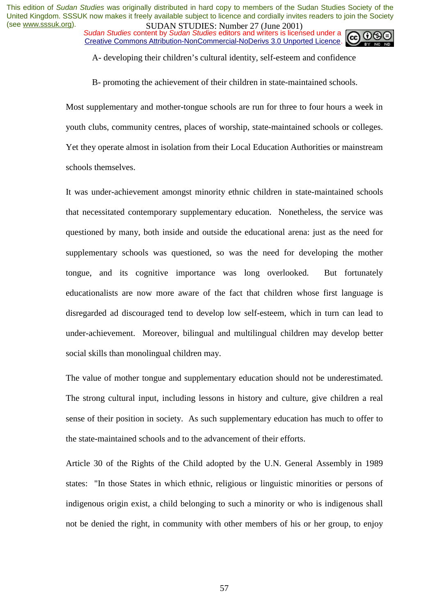*Sudan Studies content by Sudan Studies editors and writers is licensed under a* Creative Commons Attribution-NonCommercial-NoDerivs 3.0 Unported Licence.



A- developing their children's cultural identity, self-esteem and confidence

B- promoting the achievement of their children in state-maintained schools.

Most supplementary and mother-tongue schools are run for three to four hours a week in youth clubs, community centres, places of worship, state-maintained schools or colleges. Yet they operate almost in isolation from their Local Education Authorities or mainstream schools themselves.

It was under-achievement amongst minority ethnic children in state-maintained schools that necessitated contemporary supplementary education. Nonetheless, the service was questioned by many, both inside and outside the educational arena: just as the need for supplementary schools was questioned, so was the need for developing the mother tongue, and its cognitive importance was long overlooked. But fortunately educationalists are now more aware of the fact that children whose first language is disregarded ad discouraged tend to develop low self-esteem, which in turn can lead to under-achievement. Moreover, bilingual and multilingual children may develop better social skills than monolingual children may.

The value of mother tongue and supplementary education should not be underestimated. The strong cultural input, including lessons in history and culture, give children a real sense of their position in society. As such supplementary education has much to offer to the state-maintained schools and to the advancement of their efforts.

Article 30 of the Rights of the Child adopted by the U.N. General Assembly in 1989 states: "In those States in which ethnic, religious or linguistic minorities or persons of indigenous origin exist, a child belonging to such a minority or who is indigenous shall not be denied the right, in community with other members of his or her group, to enjoy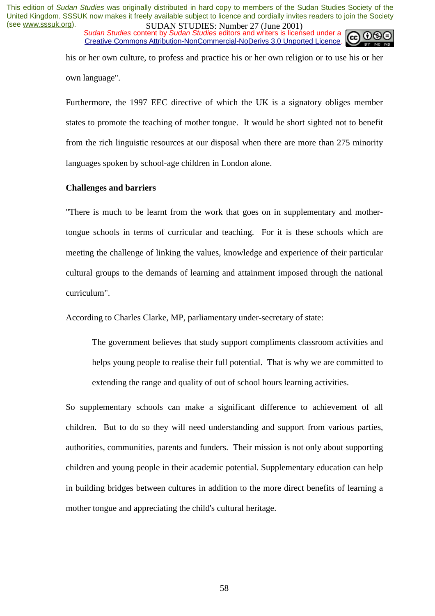*Sudan Studies* content by *Sudan Studies* editors and writers is licensed under a Creative Commons Attribution-NonCommercial-NoDerivs 3.0 Unported Licence.



his or her own culture, to profess and practice his or her own religion or to use his or her own language".

Furthermore, the 1997 EEC directive of which the UK is a signatory obliges member states to promote the teaching of mother tongue. It would be short sighted not to benefit from the rich linguistic resources at our disposal when there are more than 275 minority languages spoken by school-age children in London alone.

## **Challenges and barriers**

"There is much to be learnt from the work that goes on in supplementary and mothertongue schools in terms of curricular and teaching. For it is these schools which are meeting the challenge of linking the values, knowledge and experience of their particular cultural groups to the demands of learning and attainment imposed through the national curriculum".

According to Charles Clarke, MP, parliamentary under-secretary of state:

The government believes that study support compliments classroom activities and helps young people to realise their full potential. That is why we are committed to extending the range and quality of out of school hours learning activities.

So supplementary schools can make a significant difference to achievement of all children. But to do so they will need understanding and support from various parties, authorities, communities, parents and funders. Their mission is not only about supporting children and young people in their academic potential. Supplementary education can help in building bridges between cultures in addition to the more direct benefits of learning a mother tongue and appreciating the child's cultural heritage.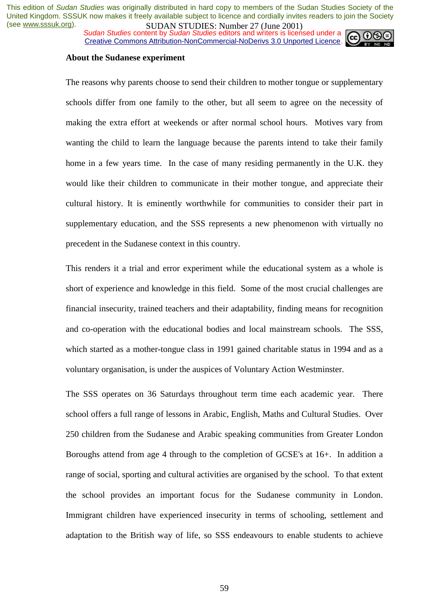**SUDAN STUDES. NUTTELLY CONTROVITY SUDAN STUDIES.**<br>Sudan Studies content by Sudan Studies editors and writers is licensed under a Creative Commons Attribution-NonCommercial-NoDerivs 3.0 Unported Licence.



#### **About the Sudanese experiment**

The reasons why parents choose to send their children to mother tongue or supplementary schools differ from one family to the other, but all seem to agree on the necessity of making the extra effort at weekends or after normal school hours. Motives vary from wanting the child to learn the language because the parents intend to take their family home in a few years time. In the case of many residing permanently in the U.K. they would like their children to communicate in their mother tongue, and appreciate their cultural history. It is eminently worthwhile for communities to consider their part in supplementary education, and the SSS represents a new phenomenon with virtually no precedent in the Sudanese context in this country.

This renders it a trial and error experiment while the educational system as a whole is short of experience and knowledge in this field. Some of the most crucial challenges are financial insecurity, trained teachers and their adaptability, finding means for recognition and co-operation with the educational bodies and local mainstream schools. The SSS, which started as a mother-tongue class in 1991 gained charitable status in 1994 and as a voluntary organisation, is under the auspices of Voluntary Action Westminster.

The SSS operates on 36 Saturdays throughout term time each academic year. There school offers a full range of lessons in Arabic, English, Maths and Cultural Studies. Over 250 children from the Sudanese and Arabic speaking communities from Greater London Boroughs attend from age 4 through to the completion of GCSE's at 16+. In addition a range of social, sporting and cultural activities are organised by the school. To that extent the school provides an important focus for the Sudanese community in London. Immigrant children have experienced insecurity in terms of schooling, settlement and adaptation to the British way of life, so SSS endeavours to enable students to achieve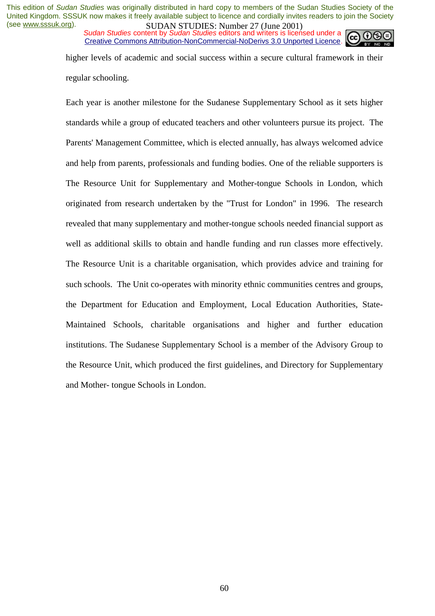*Sudan Studies content by Sudan Studies editors and writers is licensed under a* Creative Commons Attribution-NonCommercial-NoDerivs 3.0 Unported Licence.



higher levels of academic and social success within a secure cultural framework in their regular schooling.

Each year is another milestone for the Sudanese Supplementary School as it sets higher standards while a group of educated teachers and other volunteers pursue its project. The Parents' Management Committee, which is elected annually, has always welcomed advice and help from parents, professionals and funding bodies. One of the reliable supporters is The Resource Unit for Supplementary and Mother-tongue Schools in London, which originated from research undertaken by the "Trust for London" in 1996. The research revealed that many supplementary and mother-tongue schools needed financial support as well as additional skills to obtain and handle funding and run classes more effectively. The Resource Unit is a charitable organisation, which provides advice and training for such schools. The Unit co-operates with minority ethnic communities centres and groups, the Department for Education and Employment, Local Education Authorities, State-Maintained Schools, charitable organisations and higher and further education institutions. The Sudanese Supplementary School is a member of the Advisory Group to the Resource Unit, which produced the first guidelines, and Directory for Supplementary and Mother- tongue Schools in London.